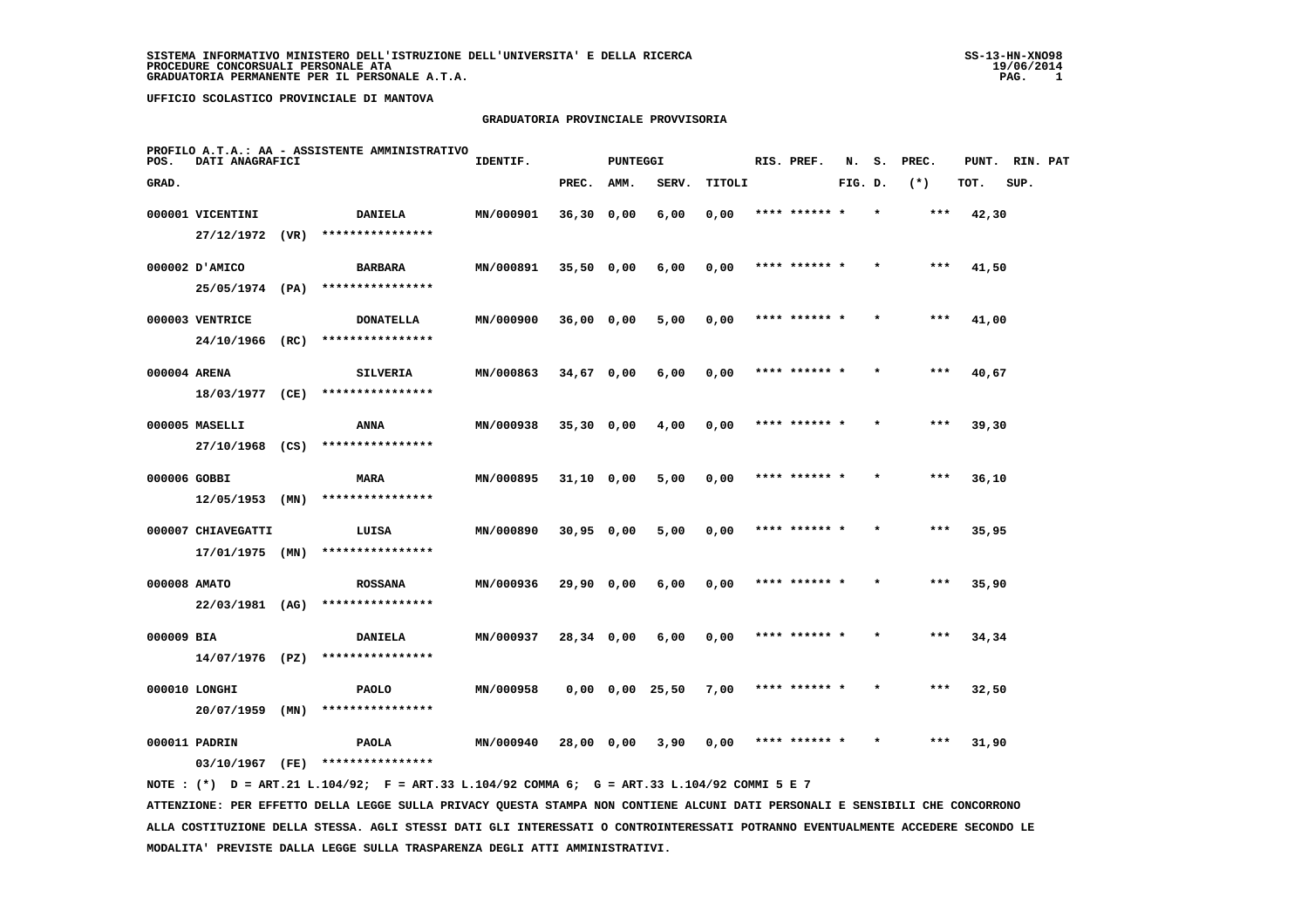#### **GRADUATORIA PROVINCIALE PROVVISORIA**

| POS.         | DATI ANAGRAFICI    |      | PROFILO A.T.A.: AA - ASSISTENTE AMMINISTRATIVO                                              | IDENTIF.  |              | <b>PUNTEGGI</b> |                       |        | RIS. PREF.    | N.      | s.      | PREC. | PUNT. | RIN. PAT |  |
|--------------|--------------------|------|---------------------------------------------------------------------------------------------|-----------|--------------|-----------------|-----------------------|--------|---------------|---------|---------|-------|-------|----------|--|
| GRAD.        |                    |      |                                                                                             |           | PREC.        | AMM.            | SERV.                 | TITOLI |               | FIG. D. |         | $(*)$ | TOT.  | SUP.     |  |
|              | 000001 VICENTINI   |      | <b>DANIELA</b>                                                                              | MN/000901 | $36,30$ 0,00 |                 | 6,00                  | 0,00   | **** ****** * |         | $\star$ | ***   | 42,30 |          |  |
|              | 27/12/1972 (VR)    |      | ****************                                                                            |           |              |                 |                       |        |               |         |         |       |       |          |  |
|              | 000002 D'AMICO     |      | <b>BARBARA</b>                                                                              | MN/000891 | $35,50$ 0,00 |                 | 6,00                  | 0,00   | **** ****** * |         |         | $***$ | 41,50 |          |  |
|              | 25/05/1974 (PA)    |      | ****************                                                                            |           |              |                 |                       |        |               |         |         |       |       |          |  |
|              | 000003 VENTRICE    |      | <b>DONATELLA</b>                                                                            | MN/000900 | 36,00 0,00   |                 | 5,00                  | 0,00   | **** ****** * |         |         | $***$ | 41,00 |          |  |
|              | 24/10/1966 (RC)    |      | ****************                                                                            |           |              |                 |                       |        |               |         |         |       |       |          |  |
| 000004 ARENA |                    |      | <b>SILVERIA</b>                                                                             | MN/000863 | 34,67 0,00   |                 | 6,00                  | 0,00   | **** ******   |         |         | ***   | 40,67 |          |  |
|              | 18/03/1977 (CE)    |      | ****************                                                                            |           |              |                 |                       |        |               |         |         |       |       |          |  |
|              | 000005 MASELLI     |      | ANNA                                                                                        | MN/000938 | $35,30$ 0,00 |                 | 4,00                  | 0,00   | **** ****** * |         |         | ***   | 39,30 |          |  |
|              | 27/10/1968 (CS)    |      | ****************                                                                            |           |              |                 |                       |        |               |         |         |       |       |          |  |
| 000006 GOBBI |                    |      | <b>MARA</b>                                                                                 | MN/000895 | $31,10$ 0,00 |                 | 5,00                  | 0,00   | **** ****** * |         |         | $***$ | 36,10 |          |  |
|              | 12/05/1953         | (MN) | ****************                                                                            |           |              |                 |                       |        |               |         |         |       |       |          |  |
|              | 000007 CHIAVEGATTI |      | LUISA                                                                                       | MN/000890 | $30,95$ 0,00 |                 | 5,00                  | 0,00   | **** ****** * |         |         | $***$ | 35,95 |          |  |
|              | $17/01/1975$ (MN)  |      | ****************                                                                            |           |              |                 |                       |        |               |         |         |       |       |          |  |
| 000008 AMATO |                    |      | <b>ROSSANA</b>                                                                              | MN/000936 | 29,90 0,00   |                 | 6,00                  | 0,00   | **** ****** * |         |         | ***   | 35,90 |          |  |
|              | 22/03/1981 (AG)    |      | ****************                                                                            |           |              |                 |                       |        |               |         |         |       |       |          |  |
| 000009 BIA   |                    |      | <b>DANIELA</b>                                                                              | MN/000937 | 28,34 0,00   |                 | 6,00                  | 0,00   | **** ****** * |         |         | $***$ | 34,34 |          |  |
|              | 14/07/1976 (PZ)    |      | ****************                                                                            |           |              |                 |                       |        |               |         |         |       |       |          |  |
|              | 000010 LONGHI      |      | <b>PAOLO</b>                                                                                | MN/000958 |              |                 | $0,00$ $0,00$ $25,50$ | 7,00   | **** ****** * |         |         | $***$ | 32,50 |          |  |
|              | 20/07/1959         | (MN) | ****************                                                                            |           |              |                 |                       |        |               |         |         |       |       |          |  |
|              | 000011 PADRIN      |      | <b>PAOLA</b>                                                                                | MN/000940 | 28,00 0,00   |                 | 3,90                  | 0,00   | **** ****** * |         |         | ***   | 31,90 |          |  |
|              |                    |      | 03/10/1967 (FE) ****************                                                            |           |              |                 |                       |        |               |         |         |       |       |          |  |
|              |                    |      | NOTE: (*) D = ART.21 L.104/92; F = ART.33 L.104/92 COMMA 6; G = ART.33 L.104/92 COMMI 5 E 7 |           |              |                 |                       |        |               |         |         |       |       |          |  |

 **ATTENZIONE: PER EFFETTO DELLA LEGGE SULLA PRIVACY QUESTA STAMPA NON CONTIENE ALCUNI DATI PERSONALI E SENSIBILI CHE CONCORRONO ALLA COSTITUZIONE DELLA STESSA. AGLI STESSI DATI GLI INTERESSATI O CONTROINTERESSATI POTRANNO EVENTUALMENTE ACCEDERE SECONDO LE MODALITA' PREVISTE DALLA LEGGE SULLA TRASPARENZA DEGLI ATTI AMMINISTRATIVI.**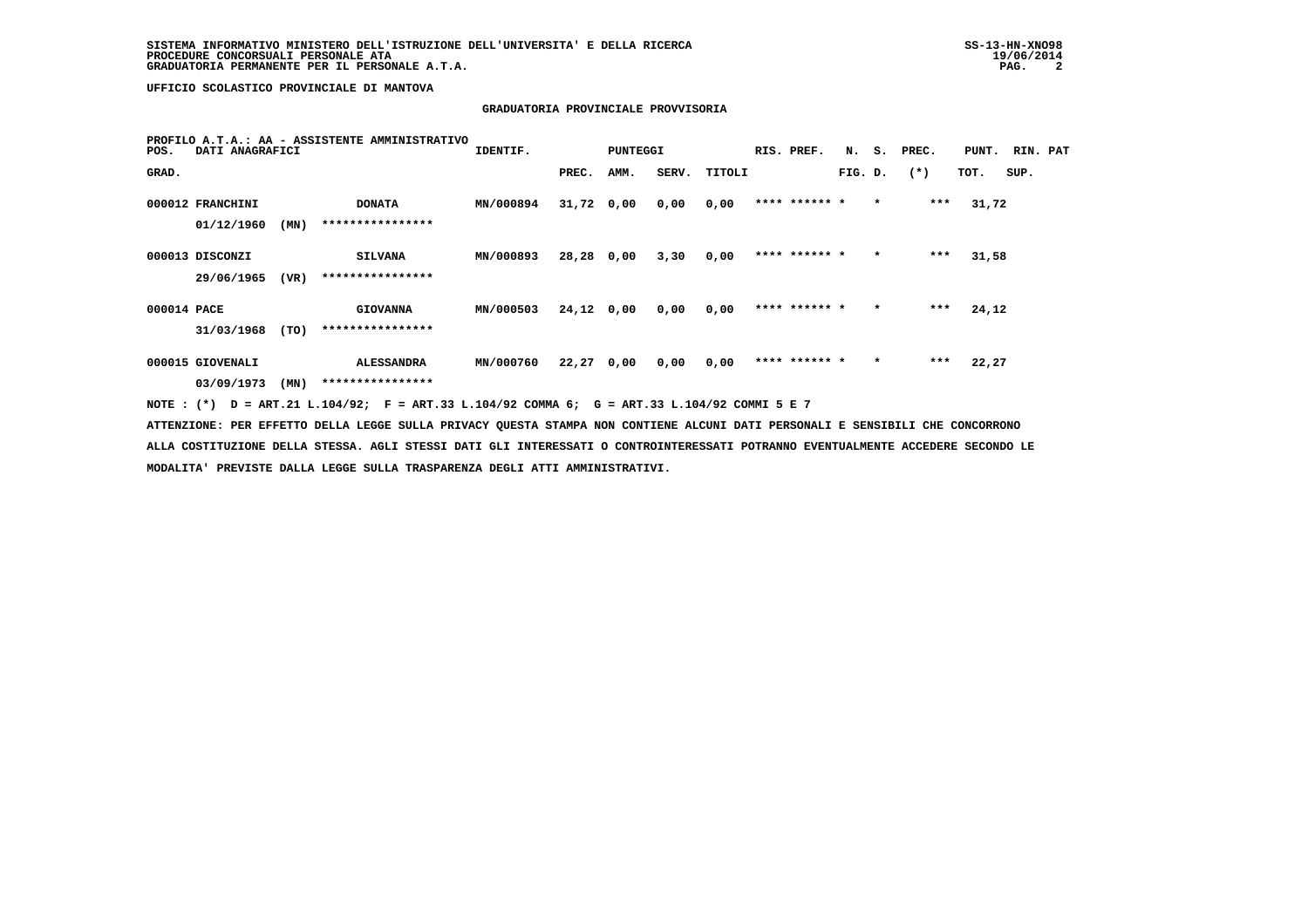# **GRADUATORIA PROVINCIALE PROVVISORIA**

| PROFILO A.T.A.: AA - ASSISTENTE AMMINISTRATIVO<br>DATI ANAGRAFICI<br>POS.                                                       | IDENTIF.         |              | PUNTEGGI |      |              | RIS. PREF.    |         |         | N. S. PREC. | PUNT. RIN. PAT |      |  |
|---------------------------------------------------------------------------------------------------------------------------------|------------------|--------------|----------|------|--------------|---------------|---------|---------|-------------|----------------|------|--|
| GRAD.                                                                                                                           |                  | PREC.        | AMM.     |      | SERV. TITOLI |               | FIG. D. |         | $(*)$       | TOT.           | SUP. |  |
| <b>DONATA</b><br>000012 FRANCHINI                                                                                               | MN/000894        | $31,72$ 0,00 |          | 0,00 | 0,00         | **** ****** * |         | $\star$ | ***         | 31,72          |      |  |
| ****************<br>01/12/1960<br>(MN)                                                                                          |                  |              |          |      |              |               |         |         |             |                |      |  |
| 000013 DISCONZI<br><b>SILVANA</b>                                                                                               | MN/000893        | 28,28 0,00   |          | 3,30 | 0.00         | **** ****** * |         | $\star$ | ***         | 31,58          |      |  |
| ****************<br>29/06/1965<br>(VR)                                                                                          |                  |              |          |      |              |               |         |         |             |                |      |  |
| 000014 PACE<br><b>GIOVANNA</b>                                                                                                  | MN/000503        | 24,12 0,00   |          | 0,00 | 0,00         | **** ****** * |         | $\star$ | $***$       | 24,12          |      |  |
| ****************<br>31/03/1968<br>(TO)                                                                                          |                  |              |          |      |              |               |         |         |             |                |      |  |
| 000015 GIOVENALI<br><b>ALESSANDRA</b>                                                                                           | <b>MN/000760</b> | 22,27 0,00   |          | 0.00 | 0.00         | **** ****** * |         | $\star$ | ***         | 22,27          |      |  |
| ****************<br>03/09/1973<br>(MN)                                                                                          |                  |              |          |      |              |               |         |         |             |                |      |  |
| NOTE: (*) D = ART.21 L.104/92; F = ART.33 L.104/92 COMMA 6; G = ART.33 L.104/92 COMMI 5 E 7                                     |                  |              |          |      |              |               |         |         |             |                |      |  |
| ATTENZIONE: PER EFFETTO DELLA LEGGE SULLA PRIVACY QUESTA STAMPA NON CONTIENE ALCUNI DATI PERSONALI E SENSIBILI CHE CONCORRONO   |                  |              |          |      |              |               |         |         |             |                |      |  |
| ALLA COSTITUZIONE DELLA STESSA. AGLI STESSI DATI GLI INTERESSATI O CONTROINTERESSATI POTRANNO EVENTUALMENTE ACCEDERE SECONDO LE |                  |              |          |      |              |               |         |         |             |                |      |  |

 **MODALITA' PREVISTE DALLA LEGGE SULLA TRASPARENZA DEGLI ATTI AMMINISTRATIVI.**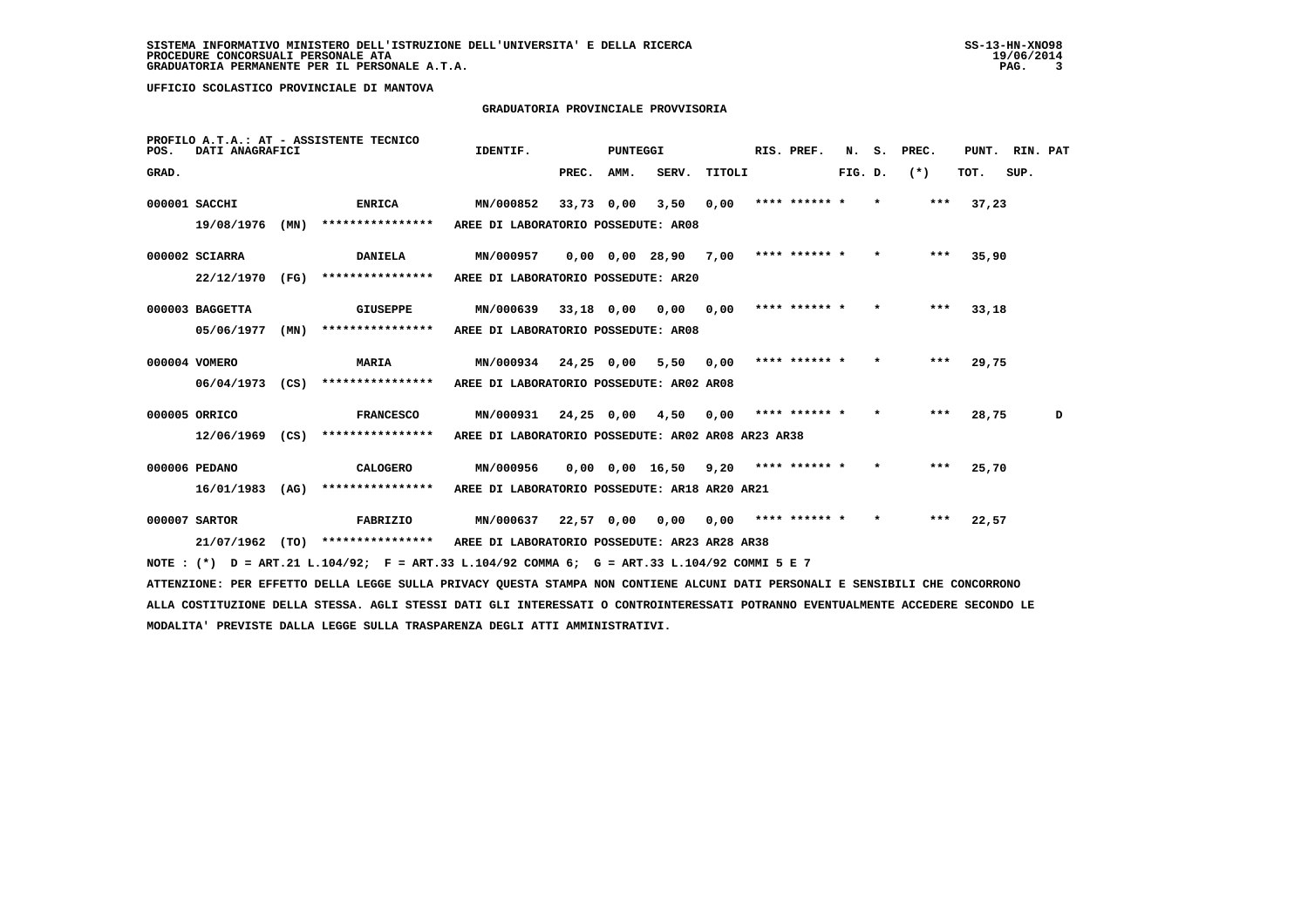## **GRADUATORIA PROVINCIALE PROVVISORIA**

| POS.  | DATI ANAGRAFICI   |      | PROFILO A.T.A.: AT - ASSISTENTE TECNICO                                                                                         | IDENTIF.                                           |            | PUNTEGGI   |                                            |        | RIS. PREF.                | N.      | s.      | PREC.  |       | PUNT. RIN. PAT |   |
|-------|-------------------|------|---------------------------------------------------------------------------------------------------------------------------------|----------------------------------------------------|------------|------------|--------------------------------------------|--------|---------------------------|---------|---------|--------|-------|----------------|---|
| GRAD. |                   |      |                                                                                                                                 |                                                    | PREC. AMM. |            | SERV.                                      | TITOLI |                           | FIG. D. |         | $(* )$ | тот.  | SUP.           |   |
|       | 000001 SACCHI     |      | <b>ENRICA</b>                                                                                                                   | MN/000852                                          |            | 33,73 0,00 |                                            |        | $3,50$ 0,00 **** ****** * |         | $\star$ | $***$  | 37,23 |                |   |
|       | 19/08/1976        | (MN) | ****************                                                                                                                | AREE DI LABORATORIO POSSEDUTE: AR08                |            |            |                                            |        |                           |         |         |        |       |                |   |
|       | 000002 SCIARRA    |      | <b>DANIELA</b>                                                                                                                  | <b>MN/000957</b>                                   |            |            | $0,00$ $0,00$ $28,90$ $7,00$ **** ****** * |        |                           |         |         | ***    | 35,90 |                |   |
|       | 22/12/1970        | (FG) | ****************                                                                                                                | AREE DI LABORATORIO POSSEDUTE: AR20                |            |            |                                            |        |                           |         |         |        |       |                |   |
|       | 000003 BAGGETTA   |      | GIUSEPPE                                                                                                                        | MN/000639 33,18 0,00 0,00 0,00                     |            |            |                                            |        | **** ****** *             |         | $\star$ | ***    | 33,18 |                |   |
|       | 05/06/1977        | (MN) | ****************                                                                                                                | AREE DI LABORATORIO POSSEDUTE: AR08                |            |            |                                            |        |                           |         |         |        |       |                |   |
|       | 000004 VOMERO     |      | <b>MARIA</b>                                                                                                                    | MN/000934 24,25 0,00 5,50 0,00                     |            |            |                                            |        | **** ****** *             |         | $\star$ | ***    | 29,75 |                |   |
|       | $06/04/1973$ (CS) |      | ****************                                                                                                                | AREE DI LABORATORIO POSSEDUTE: AR02 AR08           |            |            |                                            |        |                           |         |         |        |       |                |   |
|       | 000005 ORRICO     |      | <b>FRANCESCO</b>                                                                                                                | MN/000931 24,25 0,00 4,50                          |            |            |                                            | 0,00   | **** ****** *             |         | $\star$ | ***    | 28,75 |                | D |
|       | $12/06/1969$ (CS) |      | ****************                                                                                                                | AREE DI LABORATORIO POSSEDUTE: AR02 AR08 AR23 AR38 |            |            |                                            |        |                           |         |         |        |       |                |   |
|       | 000006 PEDANO     |      | CALOGERO                                                                                                                        | MN/000956                                          |            |            | $0.00$ $0.00$ $16.50$ $9.20$ **** ****** * |        |                           |         | $\star$ | ***    | 25,70 |                |   |
|       | $16/01/1983$ (AG) |      | ****************                                                                                                                | AREE DI LABORATORIO POSSEDUTE: AR18 AR20 AR21      |            |            |                                            |        |                           |         |         |        |       |                |   |
|       | 000007 SARTOR     |      | FABRIZIO                                                                                                                        | MN/000637 22,57 0,00 0,00 0,00 **** ****** * *     |            |            |                                            |        |                           |         |         | ***    | 22,57 |                |   |
|       |                   |      | 21/07/1962 (TO) *************** AREE DI LABORATORIO POSSEDUTE: AR23 AR28 AR38                                                   |                                                    |            |            |                                            |        |                           |         |         |        |       |                |   |
|       |                   |      | NOTE : (*) D = ART.21 L.104/92; F = ART.33 L.104/92 COMMA 6; G = ART.33 L.104/92 COMMI 5 E 7                                    |                                                    |            |            |                                            |        |                           |         |         |        |       |                |   |
|       |                   |      | ATTENZIONE: PER EFFETTO DELLA LEGGE SULLA PRIVACY QUESTA STAMPA NON CONTIENE ALCUNI DATI PERSONALI E SENSIBILI CHE CONCORRONO   |                                                    |            |            |                                            |        |                           |         |         |        |       |                |   |
|       |                   |      | ALLA COSTITUZIONE DELLA STESSA. AGLI STESSI DATI GLI INTERESSATI O CONTROINTERESSATI POTRANNO EVENTUALMENTE ACCEDERE SECONDO LE |                                                    |            |            |                                            |        |                           |         |         |        |       |                |   |
|       |                   |      | MODALITA' PREVISTE DALLA LEGGE SULLA TRASPARENZA DEGLI ATTI AMMINISTRATIVI.                                                     |                                                    |            |            |                                            |        |                           |         |         |        |       |                |   |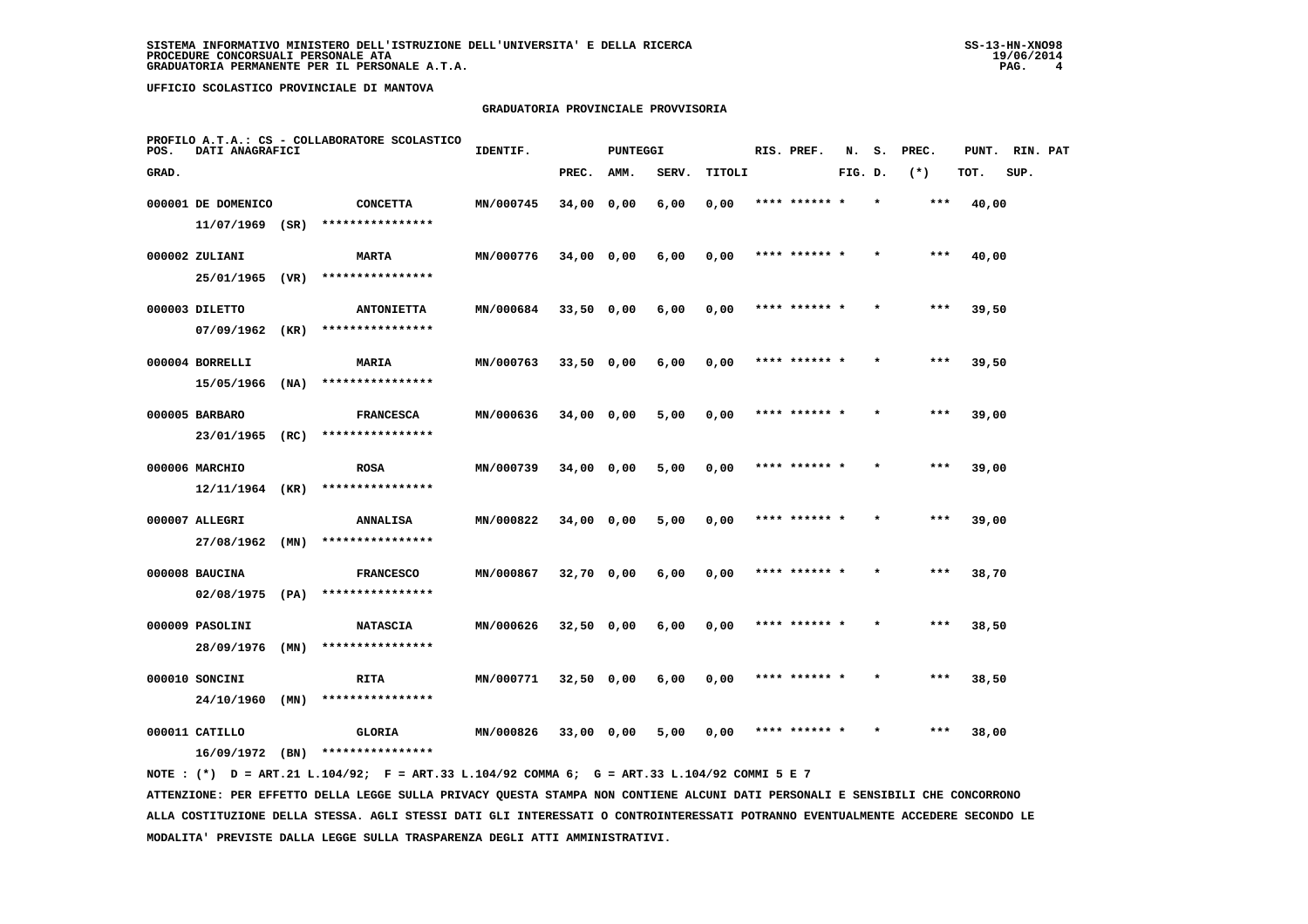## **GRADUATORIA PROVINCIALE PROVVISORIA**

| POS.  | DATI ANAGRAFICI                         |      | PROFILO A.T.A.: CS - COLLABORATORE SCOLASTICO | IDENTIF.  |              | <b>PUNTEGGI</b> |       |        | RIS. PREF.    | N.      | s. | PREC. | PUNT. | RIN. PAT |  |
|-------|-----------------------------------------|------|-----------------------------------------------|-----------|--------------|-----------------|-------|--------|---------------|---------|----|-------|-------|----------|--|
| GRAD. |                                         |      |                                               |           | PREC.        | AMM.            | SERV. | TITOLI |               | FIG. D. |    | $(*)$ | TOT.  | SUP.     |  |
|       | 000001 DE DOMENICO<br>$11/07/1969$ (SR) |      | <b>CONCETTA</b><br>****************           | MN/000745 | 34,00 0,00   |                 | 6,00  | 0,00   | **** ****** * |         |    | ***   | 40,00 |          |  |
|       | 000002 ZULIANI                          |      | <b>MARTA</b>                                  | MN/000776 | $34,00$ 0,00 |                 | 6,00  | 0,00   | **** ****** * |         |    | ***   | 40,00 |          |  |
|       | 25/01/1965 (VR)                         |      | ****************                              |           |              |                 |       |        |               |         |    |       |       |          |  |
|       | 000003 DILETTO                          |      | <b>ANTONIETTA</b>                             | MN/000684 | $33,50$ 0,00 |                 | 6,00  | 0,00   | **** ****** * |         |    | $***$ | 39,50 |          |  |
|       | 07/09/1962                              | (KR) | ****************                              |           |              |                 |       |        |               |         |    |       |       |          |  |
|       | 000004 BORRELLI                         |      | MARIA                                         | MN/000763 | $33,50$ 0,00 |                 | 6,00  | 0,00   | **** ****** * |         |    | $***$ | 39,50 |          |  |
|       | 15/05/1966                              | (NA) | ****************                              |           |              |                 |       |        |               |         |    |       |       |          |  |
|       | 000005 BARBARO<br>23/01/1965            | (RC) | <b>FRANCESCA</b><br>****************          | MN/000636 | 34,00 0,00   |                 | 5,00  | 0,00   | **** ****** * |         |    | $***$ | 39,00 |          |  |
|       |                                         |      |                                               |           |              |                 |       |        |               |         |    |       |       |          |  |
|       | 000006 MARCHIO<br>$12/11/1964$ (KR)     |      | <b>ROSA</b><br>****************               | MN/000739 | $34,00$ 0,00 |                 | 5,00  | 0,00   | **** ****** * |         |    | $***$ | 39,00 |          |  |
|       | 000007 ALLEGRI                          |      | <b>ANNALISA</b>                               | MN/000822 | 34,00 0,00   |                 | 5,00  | 0,00   | **** ****** * |         |    | $***$ | 39,00 |          |  |
|       | 27/08/1962                              | (MN) | ****************                              |           |              |                 |       |        |               |         |    |       |       |          |  |
|       | 000008 BAUCINA                          |      | <b>FRANCESCO</b>                              | MN/000867 | $32,70$ 0,00 |                 | 6,00  | 0,00   | **** ******   |         |    | ***   | 38,70 |          |  |
|       | $02/08/1975$ (PA)                       |      | ****************                              |           |              |                 |       |        |               |         |    |       |       |          |  |
|       | 000009 PASOLINI                         |      | <b>NATASCIA</b>                               | MN/000626 | $32,50$ 0,00 |                 | 6,00  | 0,00   | **** ****** * |         |    | ***   | 38,50 |          |  |
|       | 28/09/1976                              | (MN) | ****************                              |           |              |                 |       |        |               |         |    |       |       |          |  |
|       | 000010 SONCINI                          |      | RITA                                          | MN/000771 | $32,50$ 0,00 |                 | 6,00  | 0,00   | **** ****** * |         |    | $***$ | 38,50 |          |  |
|       | 24/10/1960                              | (MN) | ****************                              |           |              |                 |       |        |               |         |    |       |       |          |  |
|       | 000011 CATILLO                          |      | GLORIA                                        | MN/000826 | 33,00 0,00   |                 | 5,00  | 0,00   | **** ****** * |         |    | ***   | 38,00 |          |  |
|       | 16/09/1972                              | (BN) | ****************                              |           |              |                 |       |        |               |         |    |       |       |          |  |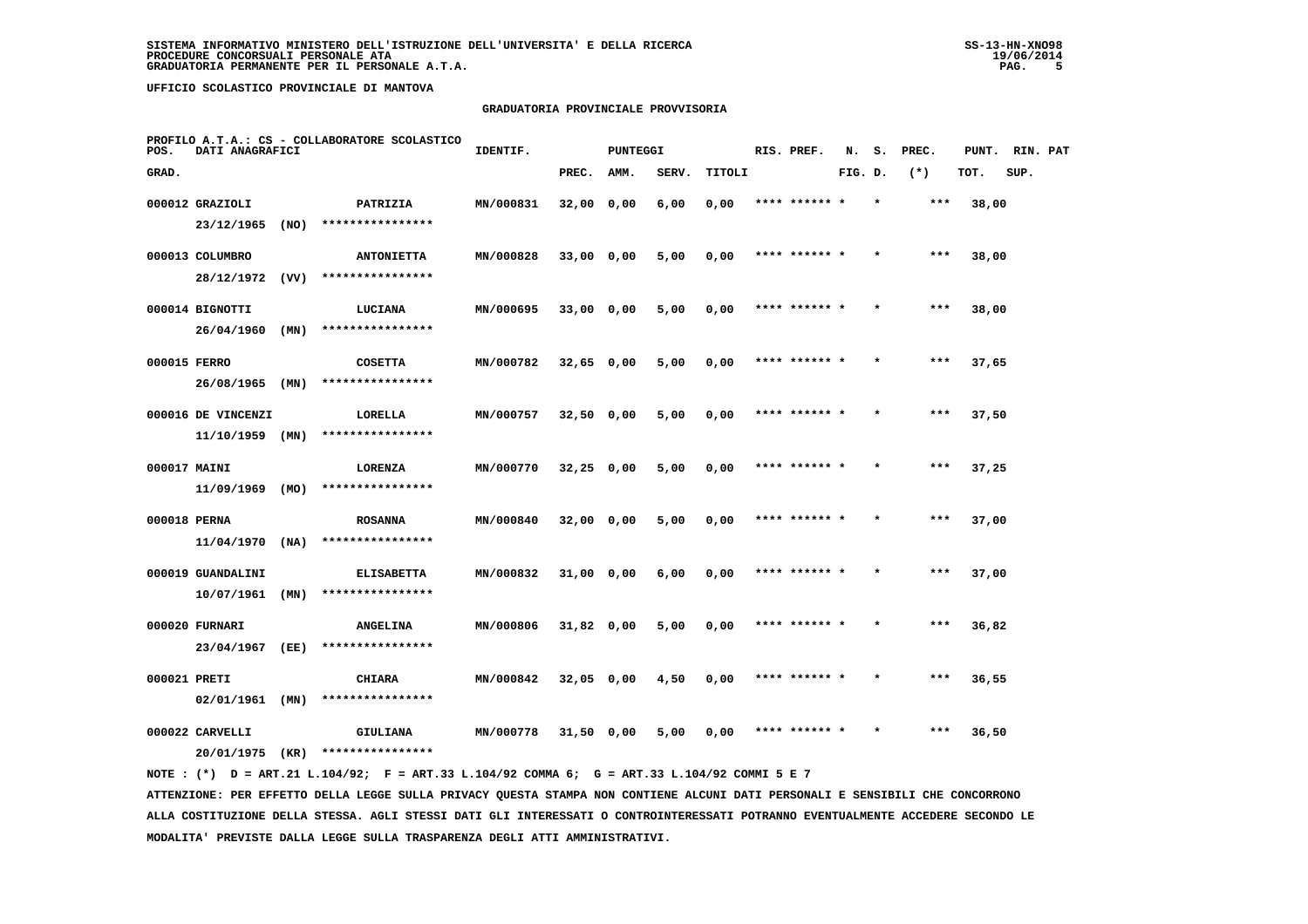## **GRADUATORIA PROVINCIALE PROVVISORIA**

| POS.         | DATI ANAGRAFICI               |      | PROFILO A.T.A.: CS - COLLABORATORE SCOLASTICO | IDENTIF.  |              | <b>PUNTEGGI</b> |       |        | RIS. PREF.    | N.      | s.      | PREC. | PUNT. | RIN. PAT |  |
|--------------|-------------------------------|------|-----------------------------------------------|-----------|--------------|-----------------|-------|--------|---------------|---------|---------|-------|-------|----------|--|
| GRAD.        |                               |      |                                               |           | PREC.        | AMM.            | SERV. | TITOLI |               | FIG. D. |         | $(*)$ | TOT.  | SUP.     |  |
|              | 000012 GRAZIOLI               |      | PATRIZIA<br>****************                  | MN/000831 | 32,00 0,00   |                 | 6,00  | 0,00   | **** ******   |         |         | ***   | 38,00 |          |  |
|              | 23/12/1965<br>000013 COLUMBRO | (NO) | <b>ANTONIETTA</b>                             | MN/000828 | 33,00 0,00   |                 | 5,00  | 0,00   | **** ****** * |         |         | ***   | 38,00 |          |  |
|              | 28/12/1972                    | (VV) | ****************                              |           |              |                 |       |        |               |         |         |       |       |          |  |
|              | 000014 BIGNOTTI               |      | LUCIANA                                       | MN/000695 | 33,00 0,00   |                 | 5,00  | 0,00   | **** ******   |         |         | ***   | 38,00 |          |  |
|              | 26/04/1960                    | (MN) | ****************                              |           |              |                 |       |        |               |         |         |       |       |          |  |
| 000015 FERRO | 26/08/1965                    | (MN) | <b>COSETTA</b><br>****************            | MN/000782 | $32,65$ 0,00 |                 | 5,00  | 0,00   | **** ****** * |         |         | $***$ | 37,65 |          |  |
|              | 000016 DE VINCENZI            |      | LORELLA                                       | MN/000757 | 32,50 0,00   |                 | 5,00  | 0,00   | **** ****** * |         |         | $***$ | 37,50 |          |  |
|              | $11/10/1959$ (MN)             |      | ****************                              |           |              |                 |       |        |               |         |         |       |       |          |  |
| 000017 MAINI |                               |      | LORENZA                                       | MN/000770 | $32,25$ 0,00 |                 | 5,00  | 0,00   | **** ****** * |         |         | $***$ | 37,25 |          |  |
|              | 11/09/1969                    | (MO) | ****************                              |           |              |                 |       |        |               |         |         |       |       |          |  |
| 000018 PERNA | $11/04/1970$ (NA)             |      | <b>ROSANNA</b><br>****************            | MN/000840 | 32,00 0,00   |                 | 5,00  | 0,00   | **** ****** * |         |         | ***   | 37,00 |          |  |
|              | 000019 GUANDALINI             |      | <b>ELISABETTA</b>                             | MN/000832 | 31,00 0,00   |                 | 6,00  | 0,00   |               |         |         | ***   | 37,00 |          |  |
|              | 10/07/1961                    | (MN) | ****************                              |           |              |                 |       |        |               |         |         |       |       |          |  |
|              | 000020 FURNARI<br>23/04/1967  | (EE) | <b>ANGELINA</b><br>****************           | MN/000806 | $31,82$ 0,00 |                 | 5,00  | 0,00   | **** ****** * |         |         | $***$ | 36,82 |          |  |
| 000021 PRETI |                               |      | <b>CHIARA</b>                                 | MN/000842 | $32,05$ 0,00 |                 | 4,50  | 0,00   | **** ****** * |         | $\star$ | ***   | 36,55 |          |  |
|              | 02/01/1961                    | (MN) | ****************                              |           |              |                 |       |        |               |         |         |       |       |          |  |
|              | 000022 CARVELLI               |      | GIULIANA                                      | MN/000778 | 31,50 0,00   |                 | 5,00  | 0,00   | **** ****** * |         |         | ***   | 36,50 |          |  |
|              | 20/01/1975                    | (KR) | ****************                              |           |              |                 |       |        |               |         |         |       |       |          |  |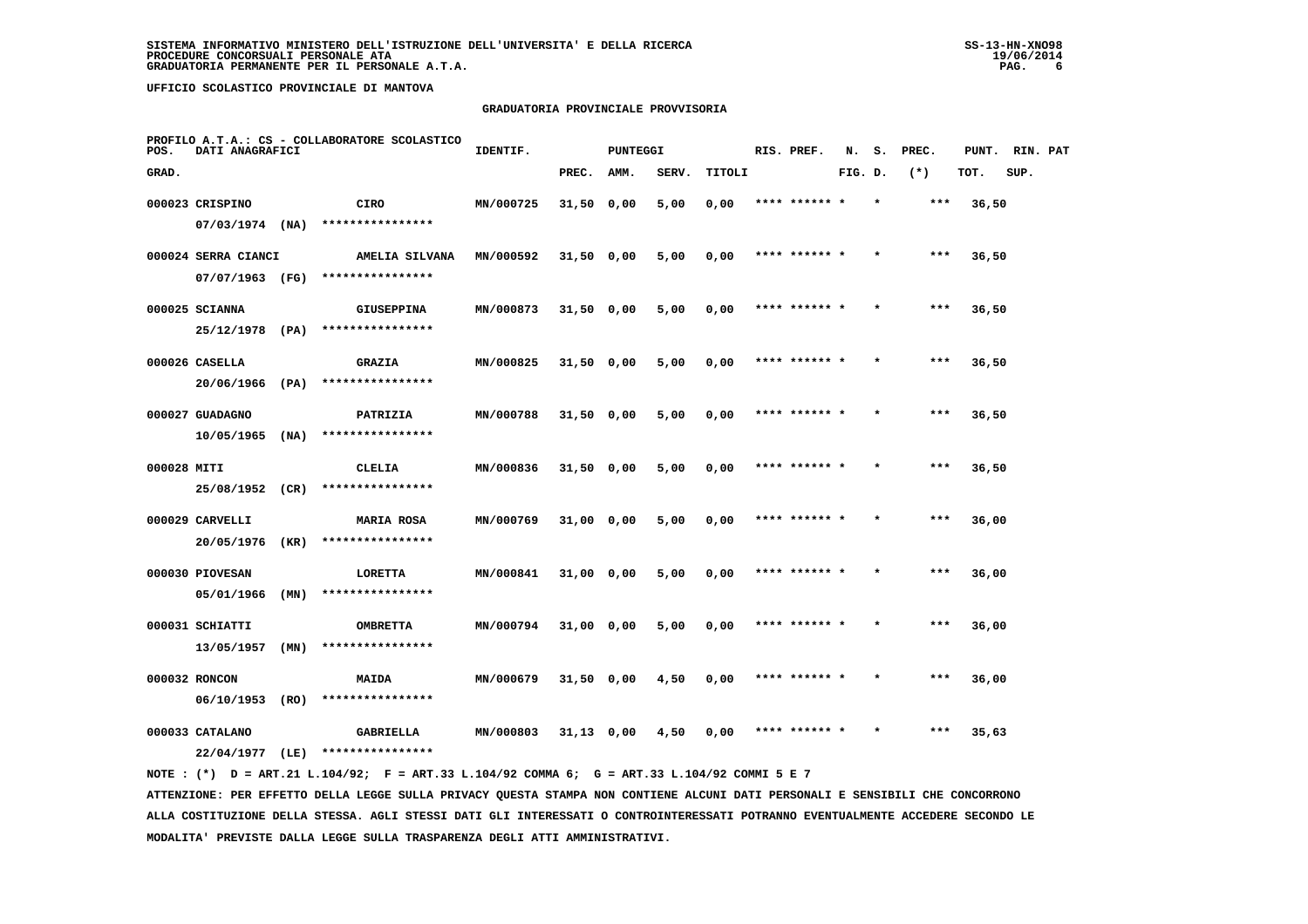## **GRADUATORIA PROVINCIALE PROVVISORIA**

| POS.        | DATI ANAGRAFICI     |      | PROFILO A.T.A.: CS - COLLABORATORE SCOLASTICO | IDENTIF.  |              | <b>PUNTEGGI</b> |       |        | RIS. PREF.    | N.      | s.      | PREC. | PUNT. | RIN. PAT |  |
|-------------|---------------------|------|-----------------------------------------------|-----------|--------------|-----------------|-------|--------|---------------|---------|---------|-------|-------|----------|--|
| GRAD.       |                     |      |                                               |           | PREC.        | AMM.            | SERV. | TITOLI |               | FIG. D. |         | $(*)$ | TOT.  | SUP.     |  |
|             | 000023 CRISPINO     |      | CIRO                                          | MN/000725 | 31,50 0,00   |                 | 5,00  | 0,00   | **** ****** * |         | $\star$ | ***   | 36,50 |          |  |
|             | $07/03/1974$ (NA)   |      | ****************                              |           |              |                 |       |        |               |         |         |       |       |          |  |
|             | 000024 SERRA CIANCI |      | AMELIA SILVANA                                | MN/000592 | $31,50$ 0,00 |                 | 5,00  | 0,00   | **** ****** * |         |         | ***   | 36,50 |          |  |
|             | 07/07/1963 (FG)     |      | ****************                              |           |              |                 |       |        |               |         |         |       |       |          |  |
|             | 000025 SCIANNA      |      | <b>GIUSEPPINA</b>                             | MN/000873 | $31,50$ 0,00 |                 | 5,00  | 0,00   | **** ****** * |         |         | $***$ | 36,50 |          |  |
|             | 25/12/1978 (PA)     |      | ****************                              |           |              |                 |       |        |               |         |         |       |       |          |  |
|             | 000026 CASELLA      |      | <b>GRAZIA</b>                                 | MN/000825 | 31,50 0,00   |                 | 5,00  | 0,00   | **** ****** * |         |         | $***$ | 36,50 |          |  |
|             | 20/06/1966          | (PA) | ****************                              |           |              |                 |       |        |               |         |         |       |       |          |  |
|             | 000027 GUADAGNO     |      | PATRIZIA                                      | MN/000788 | $31,50$ 0,00 |                 | 5,00  | 0,00   | **** ****** * |         |         | $***$ | 36,50 |          |  |
|             | 10/05/1965          | (NA) | ****************                              |           |              |                 |       |        |               |         |         |       |       |          |  |
| 000028 MITI |                     |      | CLELIA                                        | MN/000836 | $31,50$ 0,00 |                 | 5,00  | 0,00   | **** ****** * |         |         | $***$ | 36,50 |          |  |
|             | 25/08/1952 (CR)     |      | ****************                              |           |              |                 |       |        |               |         |         |       |       |          |  |
|             | 000029 CARVELLI     |      | <b>MARIA ROSA</b>                             | MN/000769 | 31,00 0,00   |                 | 5,00  | 0,00   | **** ****** * |         | $\star$ | ***   | 36,00 |          |  |
|             | 20/05/1976          | (KR) | ****************                              |           |              |                 |       |        |               |         |         |       |       |          |  |
|             | 000030 PIOVESAN     |      | LORETTA                                       | MN/000841 | 31,00 0,00   |                 | 5,00  | 0,00   | **** ******   |         |         | ***   | 36,00 |          |  |
|             | 05/01/1966          | (MN) | ****************                              |           |              |                 |       |        |               |         |         |       |       |          |  |
|             | 000031 SCHIATTI     |      | <b>OMBRETTA</b>                               | MN/000794 | 31,00 0,00   |                 | 5,00  | 0,00   | **** ****** * |         |         | ***   | 36,00 |          |  |
|             | 13/05/1957          | (MN) | ****************                              |           |              |                 |       |        |               |         |         |       |       |          |  |
|             | 000032 RONCON       |      | MAIDA                                         | MN/000679 | $31,50$ 0,00 |                 | 4,50  | 0,00   | **** ****** * |         |         | $***$ | 36,00 |          |  |
|             | 06/10/1953          | (RO) | ****************                              |           |              |                 |       |        |               |         |         |       |       |          |  |
|             | 000033 CATALANO     |      | <b>GABRIELLA</b>                              | MN/000803 | 31,13 0,00   |                 | 4,50  | 0,00   | **** ****** * |         |         | $***$ | 35,63 |          |  |
|             | 22/04/1977          | (LE) | ****************                              |           |              |                 |       |        |               |         |         |       |       |          |  |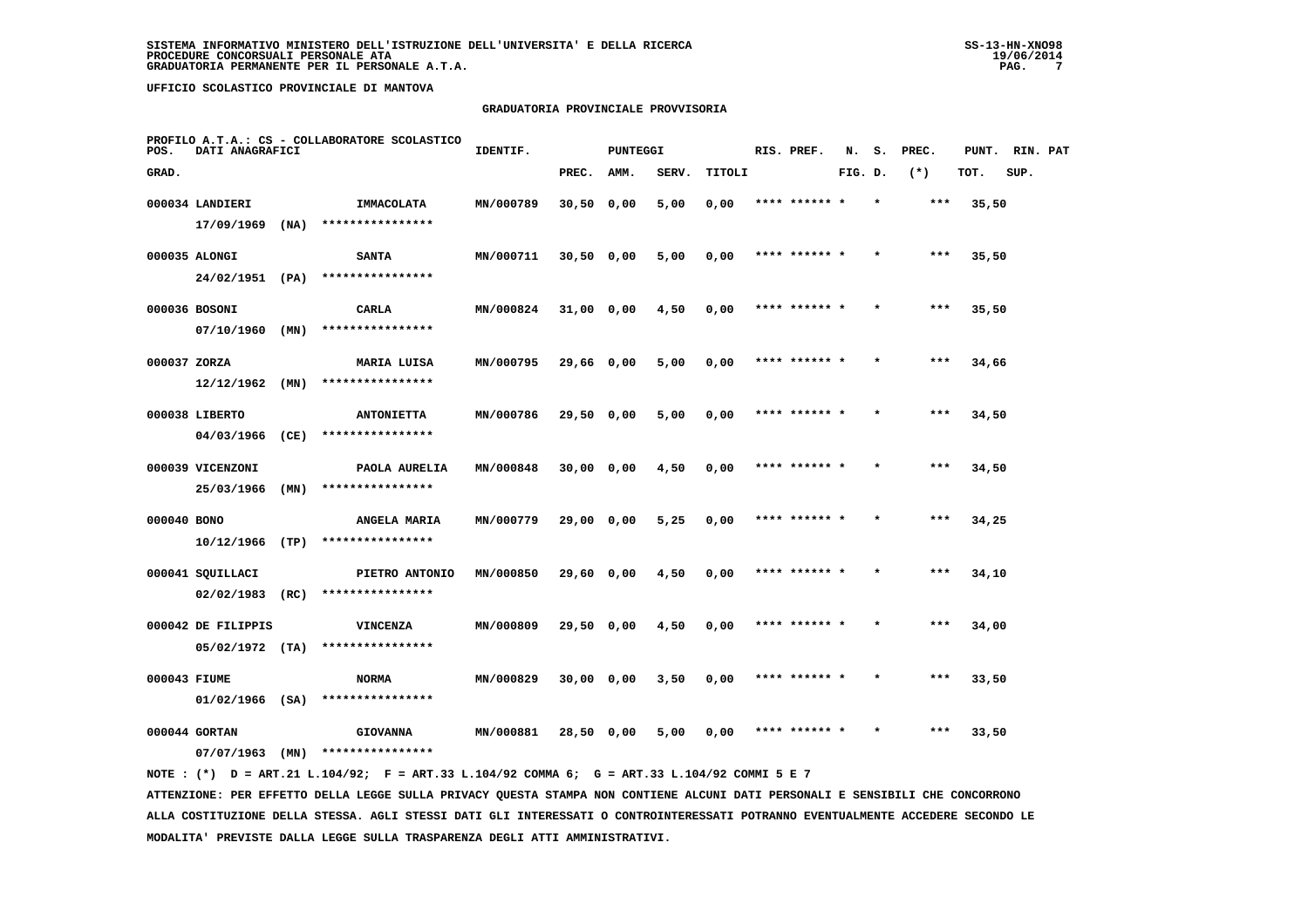## **GRADUATORIA PROVINCIALE PROVVISORIA**

| POS.         | DATI ANAGRAFICI                         |      | PROFILO A.T.A.: CS - COLLABORATORE SCOLASTICO | IDENTIF.  |              | <b>PUNTEGGI</b> |       |        | RIS. PREF.    | N.      | s.      | PREC. | PUNT. | RIN. PAT |  |
|--------------|-----------------------------------------|------|-----------------------------------------------|-----------|--------------|-----------------|-------|--------|---------------|---------|---------|-------|-------|----------|--|
| GRAD.        |                                         |      |                                               |           | PREC.        | AMM.            | SERV. | TITOLI |               | FIG. D. |         | $(*)$ | TOT.  | SUP.     |  |
|              | 000034 LANDIERI                         |      | IMMACOLATA                                    | MN/000789 | $30,50$ 0,00 |                 | 5,00  | 0,00   | **** ****** * |         | $\star$ | ***   | 35,50 |          |  |
|              | 17/09/1969                              | (NA) | ****************                              |           |              |                 |       |        |               |         |         |       |       |          |  |
|              | 000035 ALONGI                           |      | <b>SANTA</b>                                  | MN/000711 | 30,50 0,00   |                 | 5,00  | 0,00   | **** ****** * |         |         | ***   | 35,50 |          |  |
|              | 24/02/1951 (PA)                         |      | ****************                              |           |              |                 |       |        |               |         |         |       |       |          |  |
|              | 000036 BOSONI                           |      | CARLA                                         | MN/000824 | 31,00 0,00   |                 | 4,50  | 0,00   | **** ****** * |         |         | $***$ | 35,50 |          |  |
|              | 07/10/1960                              | (MN) | ****************                              |           |              |                 |       |        |               |         |         |       |       |          |  |
| 000037 ZORZA |                                         |      | MARIA LUISA                                   | MN/000795 | 29,66 0,00   |                 | 5,00  | 0,00   | **** ****** * |         |         | $***$ | 34,66 |          |  |
|              | 12/12/1962                              | (MN) | ****************                              |           |              |                 |       |        |               |         |         |       |       |          |  |
|              | 000038 LIBERTO                          |      | <b>ANTONIETTA</b>                             | MN/000786 | 29,50 0,00   |                 | 5,00  | 0,00   | **** ****** * |         |         | $***$ | 34,50 |          |  |
|              | 04/03/1966                              | (CE) | ****************                              |           |              |                 |       |        |               |         |         |       |       |          |  |
|              | 000039 VICENZONI                        |      | PAOLA AURELIA                                 | MN/000848 | 30,00 0,00   |                 | 4,50  | 0,00   | **** ****** * |         |         | $***$ | 34,50 |          |  |
|              | 25/03/1966                              | (MN) | ****************                              |           |              |                 |       |        |               |         |         |       |       |          |  |
| 000040 BONO  |                                         |      | ANGELA MARIA<br>****************              | MN/000779 | 29,00 0,00   |                 | 5,25  | 0,00   | **** ****** * |         | $\star$ | $***$ | 34,25 |          |  |
|              | 10/12/1966                              | (TP) |                                               |           |              |                 |       |        |               |         |         |       |       |          |  |
|              | 000041 SQUILLACI<br>02/02/1983          | (RC) | PIETRO ANTONIO<br>****************            | MN/000850 | 29,60 0,00   |                 | 4,50  | 0,00   | **** ******   |         |         | ***   | 34,10 |          |  |
|              |                                         |      |                                               |           |              |                 |       |        |               |         |         |       |       |          |  |
|              | 000042 DE FILIPPIS<br>$05/02/1972$ (TA) |      | <b>VINCENZA</b><br>****************           | MN/000809 | 29,50 0,00   |                 | 4,50  | 0,00   | **** ****** * |         |         | ***   | 34,00 |          |  |
|              |                                         |      |                                               |           |              |                 |       |        |               |         |         |       |       |          |  |
| 000043 FIUME | $01/02/1966$ (SA)                       |      | <b>NORMA</b><br>****************              | MN/000829 | $30,00$ 0,00 |                 | 3,50  | 0,00   | **** ****** * |         |         | $***$ | 33,50 |          |  |
|              | 000044 GORTAN                           |      |                                               |           |              |                 |       |        | **** ****** * |         |         | $***$ |       |          |  |
|              | 07/07/1963                              | (MN) | <b>GIOVANNA</b><br>****************           | MN/000881 | 28,50 0,00   |                 | 5,00  | 0,00   |               |         |         |       | 33,50 |          |  |
|              |                                         |      |                                               |           |              |                 |       |        |               |         |         |       |       |          |  |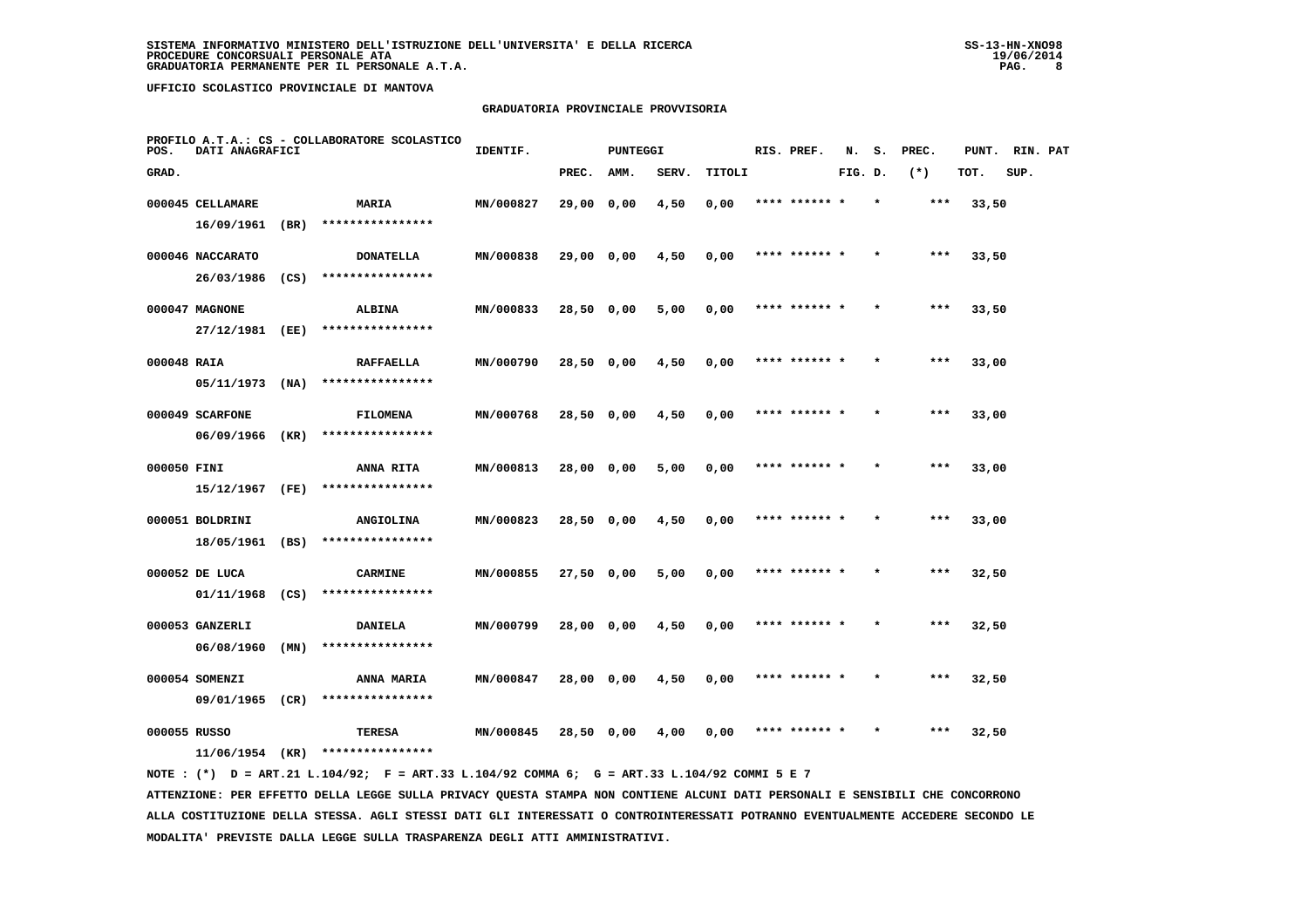## **GRADUATORIA PROVINCIALE PROVVISORIA**

| POS.        | DATI ANAGRAFICI                   |      | PROFILO A.T.A.: CS - COLLABORATORE SCOLASTICO | IDENTIF.  |            | PUNTEGGI |       |        |      | RIS. PREF.    | N.      |         | S. PREC. | PUNT. RIN. PAT |      |  |
|-------------|-----------------------------------|------|-----------------------------------------------|-----------|------------|----------|-------|--------|------|---------------|---------|---------|----------|----------------|------|--|
| GRAD.       |                                   |      |                                               |           | PREC.      | AMM.     | SERV. | TITOLI |      |               | FIG. D. |         | $(*)$    | TOT.           | SUP. |  |
|             | 000045 CELLAMARE                  |      | MARIA                                         | MN/000827 | 29,00 0,00 |          | 4,50  | 0,00   |      |               |         |         | ***      | 33,50          |      |  |
|             | 16/09/1961                        | (BR) | ****************                              |           |            |          |       |        |      |               |         |         |          |                |      |  |
|             | 000046 NACCARATO                  |      | <b>DONATELLA</b>                              | MN/000838 | 29,00 0,00 |          | 4,50  | 0,00   |      | **** ****** * |         |         | $***$    | 33,50          |      |  |
|             | 26/03/1986                        | (CS) | ****************                              |           |            |          |       |        |      |               |         |         |          |                |      |  |
|             | 000047 MAGNONE                    |      | ALBINA                                        | MN/000833 | 28,50 0,00 |          | 5,00  | 0,00   |      | **** ****** * |         | $\star$ | ***      | 33,50          |      |  |
|             | 27/12/1981                        | (EE) | ****************                              |           |            |          |       |        |      |               |         |         |          |                |      |  |
| 000048 RAIA |                                   |      | <b>RAFFAELLA</b>                              | MN/000790 | 28,50 0,00 |          | 4,50  | 0,00   |      | **** ****** * |         |         | $***$    | 33,00          |      |  |
|             | 05/11/1973                        | (NA) | ****************                              |           |            |          |       |        |      |               |         |         |          |                |      |  |
|             | 000049 SCARFONE                   |      | <b>FILOMENA</b>                               | MN/000768 | 28,50 0,00 |          | 4,50  | 0,00   |      | **** ****** * |         |         | $***$    | 33,00          |      |  |
|             | 06/09/1966                        | (KR) | ****************                              |           |            |          |       |        |      |               |         |         |          |                |      |  |
| 000050 FINI |                                   |      | <b>ANNA RITA</b>                              | MN/000813 | 28,00 0,00 |          | 5,00  | 0,00   |      | **** ****** * |         |         | ***      | 33,00          |      |  |
|             | 15/12/1967                        | (FE) | ****************                              |           |            |          |       |        |      |               |         |         |          |                |      |  |
|             | 000051 BOLDRINI                   |      | ANGIOLINA                                     | MN/000823 | 28,50 0,00 |          | 4,50  | 0,00   |      | **** ******   |         |         | ***      | 33,00          |      |  |
|             | 18/05/1961 (BS)                   |      | ****************                              |           |            |          |       |        |      |               |         |         |          |                |      |  |
|             | 000052 DE LUCA                    |      | <b>CARMINE</b>                                | MN/000855 | 27,50 0,00 |          | 5,00  | 0,00   |      | **** ****** * |         |         | ***      | 32,50          |      |  |
|             | 01/11/1968                        | (CS) | ****************                              |           |            |          |       |        |      |               |         |         |          |                |      |  |
|             | 000053 GANZERLI                   |      | <b>DANIELA</b>                                | MN/000799 | 28,00 0,00 |          | 4,50  | 0,00   |      | **** ****** * |         |         | $***$    | 32,50          |      |  |
|             | 06/08/1960                        | (MN) | ****************                              |           |            |          |       |        |      |               |         |         |          |                |      |  |
|             | 000054 SOMENZI                    |      | <b>ANNA MARIA</b><br>****************         | MN/000847 | 28,00 0,00 |          | 4,50  | 0,00   |      | **** ****** * |         |         | $***$    | 32,50          |      |  |
|             | 09/01/1965 (CR)                   |      |                                               |           |            |          |       |        |      |               |         |         |          |                |      |  |
|             | 000055 RUSSO<br>$11/06/1954$ (KR) |      | TERESA<br>****************                    | MN/000845 | 28,50 0,00 |          | 4,00  | 0,00   | **** |               |         |         | ***      | 32,50          |      |  |
|             |                                   |      |                                               |           |            |          |       |        |      |               |         |         |          |                |      |  |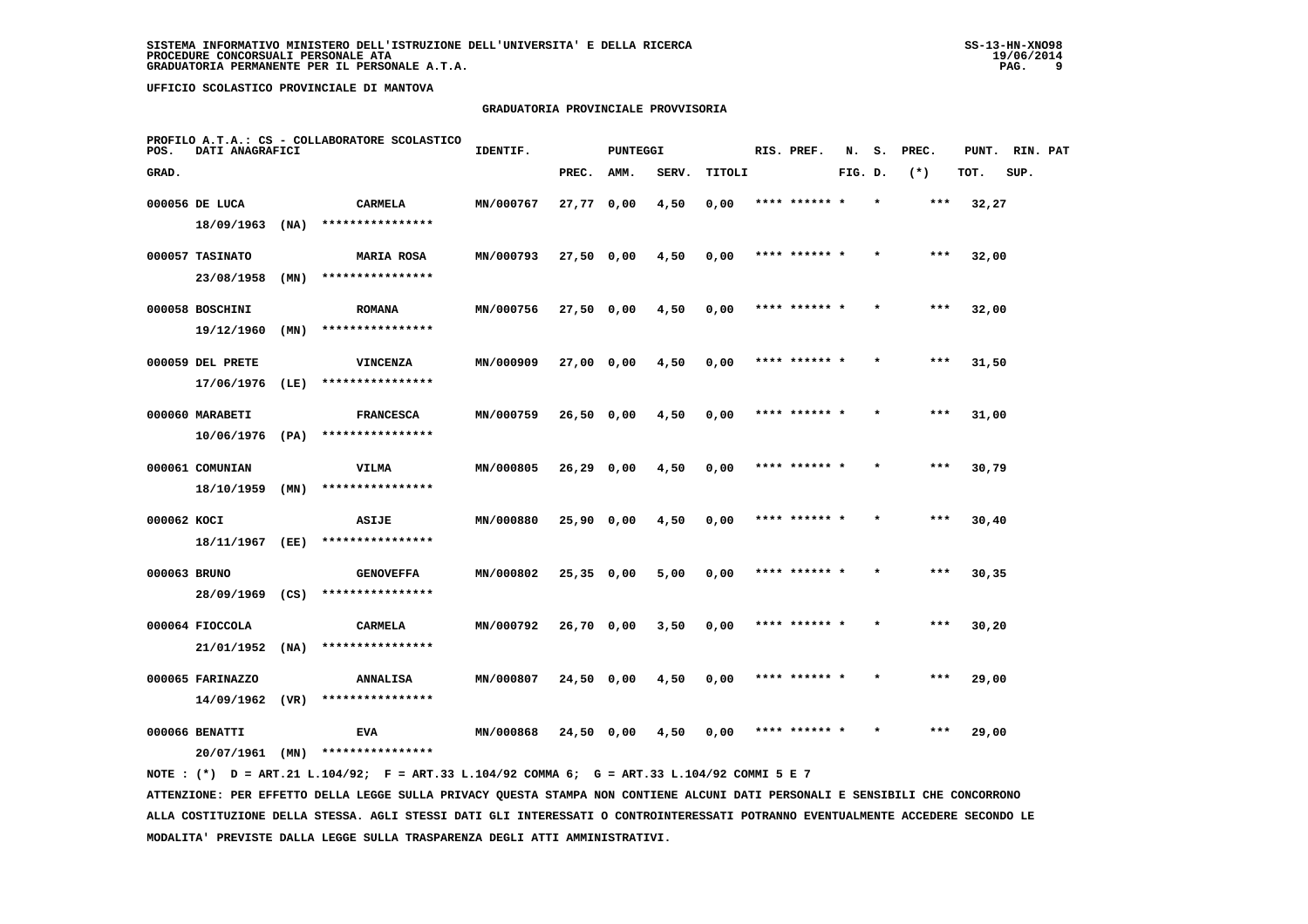## **GRADUATORIA PROVINCIALE PROVVISORIA**

| POS.         | DATI ANAGRAFICI   |      | PROFILO A.T.A.: CS - COLLABORATORE SCOLASTICO | IDENTIF.  |              | PUNTEGGI |       |        | RIS. PREF.    | N.      | s.      | PREC. | PUNT. | RIN. PAT |  |
|--------------|-------------------|------|-----------------------------------------------|-----------|--------------|----------|-------|--------|---------------|---------|---------|-------|-------|----------|--|
| GRAD.        |                   |      |                                               |           | PREC.        | AMM.     | SERV. | TITOLI |               | FIG. D. |         | $(*)$ | TOT.  | SUP.     |  |
|              | 000056 DE LUCA    |      | CARMELA                                       | MN/000767 | 27,77 0,00   |          | 4,50  | 0,00   | **** ******   |         |         | $***$ | 32,27 |          |  |
|              | 18/09/1963        | (NA) | ****************                              |           |              |          |       |        |               |         |         |       |       |          |  |
|              | 000057 TASINATO   |      | <b>MARIA ROSA</b>                             | MN/000793 | 27,50 0,00   |          | 4,50  | 0,00   | **** ****** * |         |         | $***$ | 32,00 |          |  |
|              | 23/08/1958        | (MN) | ****************                              |           |              |          |       |        |               |         |         |       |       |          |  |
|              | 000058 BOSCHINI   |      | <b>ROMANA</b>                                 | MN/000756 | 27,50 0,00   |          | 4,50  | 0,00   | **** ****** * |         | $\star$ | $***$ | 32,00 |          |  |
|              | 19/12/1960        | (MN) | ****************                              |           |              |          |       |        |               |         |         |       |       |          |  |
|              | 000059 DEL PRETE  |      | VINCENZA                                      | MN/000909 | 27,00 0,00   |          | 4,50  | 0,00   |               |         |         | ***   | 31,50 |          |  |
|              | 17/06/1976        | (LE) | ****************                              |           |              |          |       |        |               |         |         |       |       |          |  |
|              | 000060 MARABETI   |      | <b>FRANCESCA</b>                              | MN/000759 | 26,50 0,00   |          | 4,50  | 0,00   | **** ****** * |         |         | $***$ | 31,00 |          |  |
|              | $10/06/1976$ (PA) |      | ****************                              |           |              |          |       |        |               |         |         |       |       |          |  |
|              | 000061 COMUNIAN   |      | VILMA                                         | MN/000805 | 26,29 0,00   |          | 4,50  | 0,00   | **** ****** * |         | $\star$ | $***$ | 30,79 |          |  |
|              | 18/10/1959        | (MN) | ****************                              |           |              |          |       |        |               |         |         |       |       |          |  |
| 000062 KOCI  |                   |      | ASIJE                                         | MN/000880 | 25,90 0,00   |          | 4,50  | 0,00   |               |         |         | ***   | 30,40 |          |  |
|              | 18/11/1967        | (EE) | ****************                              |           |              |          |       |        |               |         |         |       |       |          |  |
| 000063 BRUNO |                   |      | <b>GENOVEFFA</b>                              | MN/000802 | $25,35$ 0,00 |          | 5,00  | 0,00   | **** ****** * |         |         | $***$ | 30,35 |          |  |
|              | 28/09/1969        | (CS) | ****************                              |           |              |          |       |        |               |         |         |       |       |          |  |
|              | 000064 FIOCCOLA   |      | <b>CARMELA</b>                                | MN/000792 | 26,70 0,00   |          | 3,50  | 0,00   | **** ****** * |         |         | $***$ | 30,20 |          |  |
|              | 21/01/1952        | (NA) | ****************                              |           |              |          |       |        |               |         |         |       |       |          |  |
|              | 000065 FARINAZZO  |      | <b>ANNALISA</b>                               | MN/000807 | 24,50 0,00   |          | 4,50  | 0,00   | **** ****** * |         |         | $***$ | 29,00 |          |  |
|              | 14/09/1962        | (VR) | ****************                              |           |              |          |       |        |               |         |         |       |       |          |  |
|              | 000066 BENATTI    |      | <b>EVA</b>                                    | MN/000868 | 24,50 0,00   |          | 4,50  | 0,00   |               |         |         | ***   | 29,00 |          |  |
|              | 20/07/1961        | (MN) | ****************                              |           |              |          |       |        |               |         |         |       |       |          |  |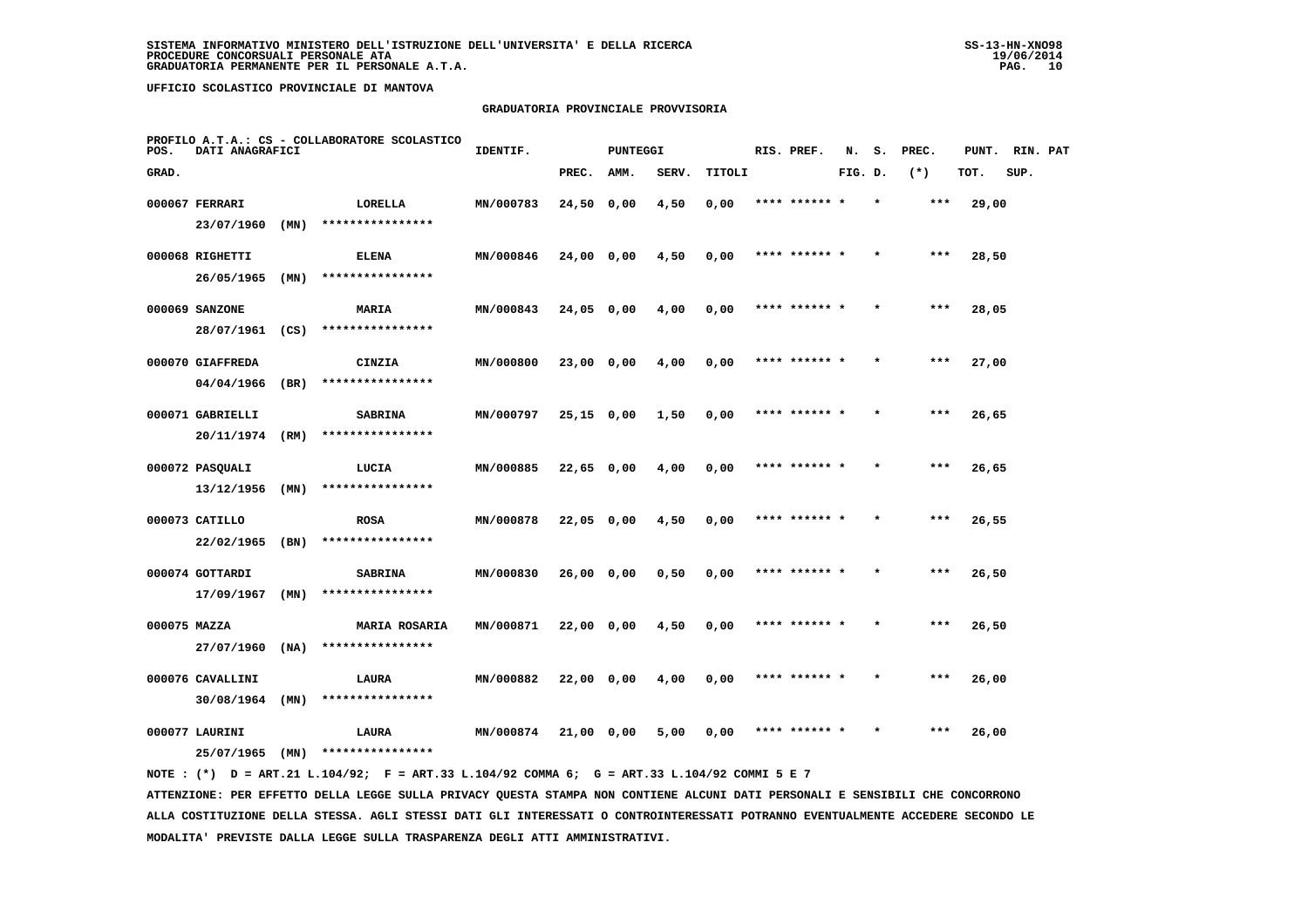## **GRADUATORIA PROVINCIALE PROVVISORIA**

| POS.         | DATI ANAGRAFICI  |      | PROFILO A.T.A.: CS - COLLABORATORE SCOLASTICO | IDENTIF.  |              | <b>PUNTEGGI</b> |       |        | RIS. PREF.    | N.      | s.      | PREC. | PUNT. | RIN. PAT |  |
|--------------|------------------|------|-----------------------------------------------|-----------|--------------|-----------------|-------|--------|---------------|---------|---------|-------|-------|----------|--|
| GRAD.        |                  |      |                                               |           | PREC.        | AMM.            | SERV. | TITOLI |               | FIG. D. |         | $(*)$ | TOT.  | SUP.     |  |
|              | 000067 FERRARI   |      | LORELLA                                       | MN/000783 | 24,50 0,00   |                 | 4,50  | 0,00   | **** ******   |         |         | ***   | 29,00 |          |  |
|              | 23/07/1960       | (MN) | ****************                              |           |              |                 |       |        |               |         |         |       |       |          |  |
|              | 000068 RIGHETTI  |      | <b>ELENA</b>                                  | MN/000846 | 24,00 0,00   |                 | 4,50  | 0,00   | **** ****** * |         |         | ***   | 28,50 |          |  |
|              | 26/05/1965       | (MN) | ****************                              |           |              |                 |       |        |               |         |         |       |       |          |  |
|              | 000069 SANZONE   |      | <b>MARIA</b>                                  | MN/000843 | $24,05$ 0,00 |                 | 4,00  | 0,00   | **** ****** * |         |         | $***$ | 28,05 |          |  |
|              | 28/07/1961       | (CS) | ****************                              |           |              |                 |       |        |               |         |         |       |       |          |  |
|              | 000070 GIAFFREDA |      | CINZIA                                        | MN/000800 | 23,00 0,00   |                 | 4,00  | 0,00   | **** ****** * |         |         | ***   | 27,00 |          |  |
|              | 04/04/1966       | (BR) | ****************                              |           |              |                 |       |        |               |         |         |       |       |          |  |
|              | 000071 GABRIELLI |      | <b>SABRINA</b>                                | MN/000797 | $25,15$ 0,00 |                 | 1,50  | 0,00   | **** ****** * |         |         | $***$ | 26,65 |          |  |
|              | 20/11/1974       | (RM) | ****************                              |           |              |                 |       |        |               |         |         |       |       |          |  |
|              | 000072 PASQUALI  |      | LUCIA                                         | MN/000885 | $22,65$ 0,00 |                 | 4,00  | 0,00   | **** ****** * |         |         | $***$ | 26,65 |          |  |
|              | 13/12/1956       | (MN) | ****************                              |           |              |                 |       |        |               |         |         |       |       |          |  |
|              | 000073 CATILLO   |      | <b>ROSA</b>                                   | MN/000878 | 22,05 0,00   |                 | 4,50  | 0,00   | **** ****** * |         |         | ***   | 26,55 |          |  |
|              | 22/02/1965       | (BN) | ****************                              |           |              |                 |       |        |               |         |         |       |       |          |  |
|              | 000074 GOTTARDI  |      | <b>SABRINA</b>                                | MN/000830 | 26,000,00    |                 | 0,50  | 0,00   |               |         |         | ***   | 26,50 |          |  |
|              | 17/09/1967       | (MN) | ****************                              |           |              |                 |       |        |               |         |         |       |       |          |  |
| 000075 MAZZA |                  |      | <b>MARIA ROSARIA</b>                          | MN/000871 | 22,00 0,00   |                 | 4,50  | 0,00   | **** ****** * |         |         | $***$ | 26,50 |          |  |
|              | 27/07/1960       | (NA) | ****************                              |           |              |                 |       |        |               |         |         |       |       |          |  |
|              | 000076 CAVALLINI |      | LAURA                                         | MN/000882 | 22,00 0,00   |                 | 4,00  | 0,00   | **** ****** * |         | $\star$ | ***   | 26,00 |          |  |
|              | 30/08/1964       | (MN) | ****************                              |           |              |                 |       |        |               |         |         |       |       |          |  |
|              | 000077 LAURINI   |      | LAURA                                         | MN/000874 | 21,00 0,00   |                 | 5,00  | 0,00   | **** ****** * |         |         | ***   | 26,00 |          |  |
|              | 25/07/1965       | (MN) | ****************                              |           |              |                 |       |        |               |         |         |       |       |          |  |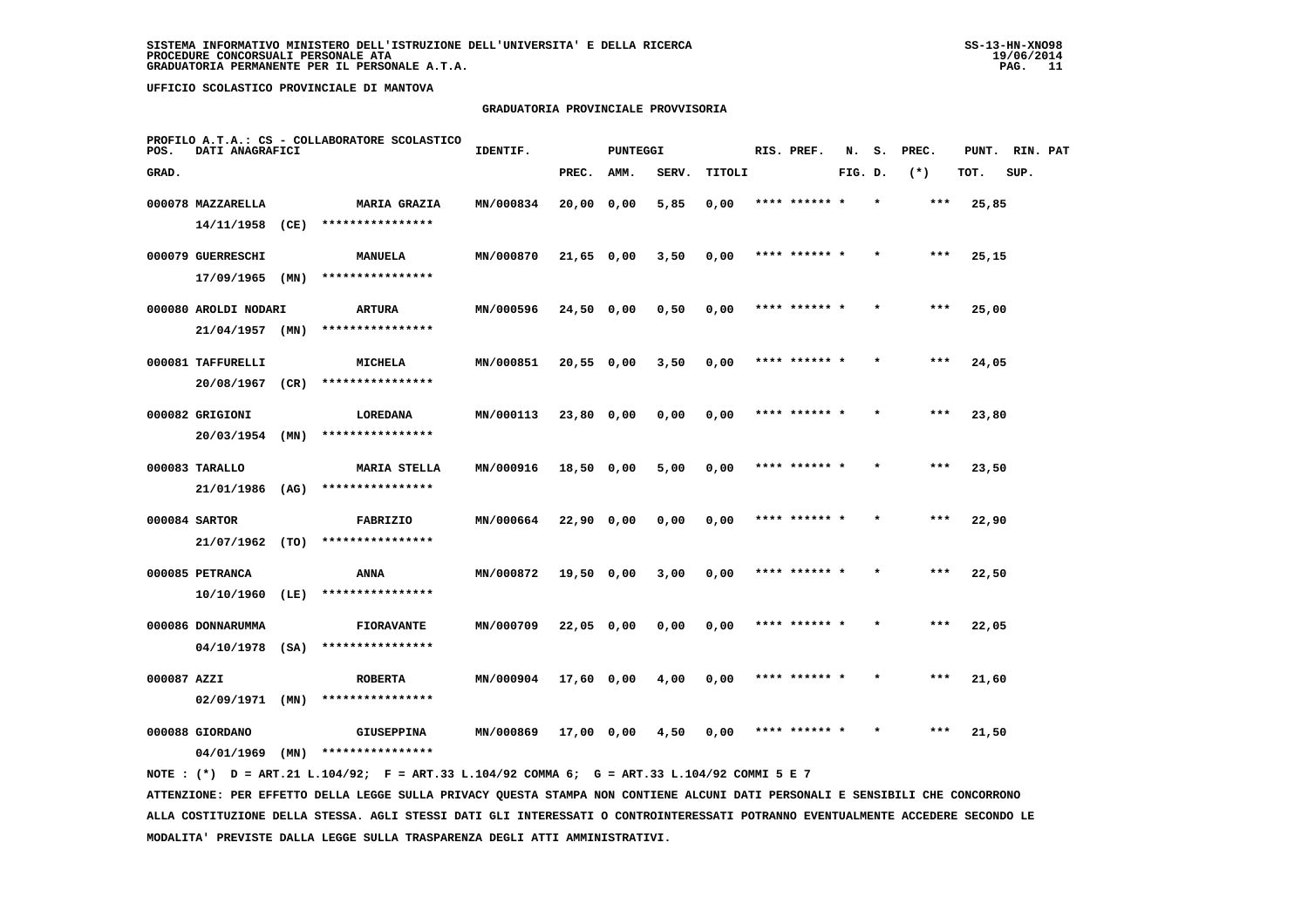### **GRADUATORIA PROVINCIALE PROVVISORIA**

| POS.        | DATI ANAGRAFICI      |      | PROFILO A.T.A.: CS - COLLABORATORE SCOLASTICO | IDENTIF.  |              | <b>PUNTEGGI</b> |       |        | RIS. PREF.    | N.      | s.      | PREC. | PUNT. | RIN. PAT |  |
|-------------|----------------------|------|-----------------------------------------------|-----------|--------------|-----------------|-------|--------|---------------|---------|---------|-------|-------|----------|--|
| GRAD.       |                      |      |                                               |           | PREC.        | AMM.            | SERV. | TITOLI |               | FIG. D. |         | $(*)$ | TOT.  | SUP.     |  |
|             | 000078 MAZZARELLA    |      | <b>MARIA GRAZIA</b>                           | MN/000834 | 20,00 0,00   |                 | 5,85  | 0,00   | **** ****** * |         | $\star$ | $***$ | 25,85 |          |  |
|             | 14/11/1958           | (CE) | ****************                              |           |              |                 |       |        |               |         |         |       |       |          |  |
|             | 000079 GUERRESCHI    |      | <b>MANUELA</b>                                | MN/000870 | $21,65$ 0,00 |                 | 3,50  | 0,00   | **** ****** * |         |         | $***$ | 25,15 |          |  |
|             | 17/09/1965           | (MN) | ****************                              |           |              |                 |       |        |               |         |         |       |       |          |  |
|             | 000080 AROLDI NODARI |      | ARTURA                                        | MN/000596 | 24,50 0,00   |                 | 0,50  | 0,00   | **** ****** * |         |         | $***$ | 25,00 |          |  |
|             | 21/04/1957 (MN)      |      | ****************                              |           |              |                 |       |        |               |         |         |       |       |          |  |
|             | 000081 TAFFURELLI    |      | MICHELA                                       | MN/000851 | 20,55 0,00   |                 | 3,50  | 0,00   | **** ****** * |         |         | $***$ | 24,05 |          |  |
|             | 20/08/1967           | (CR) | ****************                              |           |              |                 |       |        |               |         |         |       |       |          |  |
|             | 000082 GRIGIONI      |      | LOREDANA                                      | MN/000113 | 23,80 0,00   |                 | 0,00  | 0,00   | **** ****** * |         |         | $***$ | 23,80 |          |  |
|             | 20/03/1954           | (MN) | ****************                              |           |              |                 |       |        |               |         |         |       |       |          |  |
|             | 000083 TARALLO       |      | <b>MARIA STELLA</b>                           | MN/000916 | 18,50 0,00   |                 | 5,00  | 0,00   |               |         |         | ***   | 23,50 |          |  |
|             | 21/01/1986 (AG)      |      | ****************                              |           |              |                 |       |        |               |         |         |       |       |          |  |
|             | 000084 SARTOR        |      | FABRIZIO                                      | MN/000664 | $22,90$ 0,00 |                 | 0,00  | 0,00   | **** ****** * |         |         | ***   | 22,90 |          |  |
|             | 21/07/1962 (TO)      |      | ****************                              |           |              |                 |       |        |               |         |         |       |       |          |  |
|             | 000085 PETRANCA      |      | ANNA                                          | MN/000872 | $19,50$ 0,00 |                 | 3,00  | 0,00   | **** ****** * |         |         | ***   | 22,50 |          |  |
|             | 10/10/1960           | (LE) | ****************                              |           |              |                 |       |        |               |         |         |       |       |          |  |
|             | 000086 DONNARUMMA    |      | <b>FIORAVANTE</b>                             | MN/000709 | 22,05 0,00   |                 | 0,00  | 0,00   | **** ****** * |         |         | ***   | 22,05 |          |  |
|             | 04/10/1978           | (SA) | ****************                              |           |              |                 |       |        |               |         |         |       |       |          |  |
| 000087 AZZI |                      |      | <b>ROBERTA</b>                                | MN/000904 | 17,60 0,00   |                 | 4,00  | 0,00   | **** ****** * |         |         | $***$ | 21,60 |          |  |
|             | $02/09/1971$ (MN)    |      | ****************                              |           |              |                 |       |        |               |         |         |       |       |          |  |
|             | 000088 GIORDANO      |      | <b>GIUSEPPINA</b>                             | MN/000869 | 17,00 0,00   |                 | 4,50  | 0.00   | **** ****** * |         |         | ***   | 21,50 |          |  |
|             | 04/01/1969           | (MN) | ****************                              |           |              |                 |       |        |               |         |         |       |       |          |  |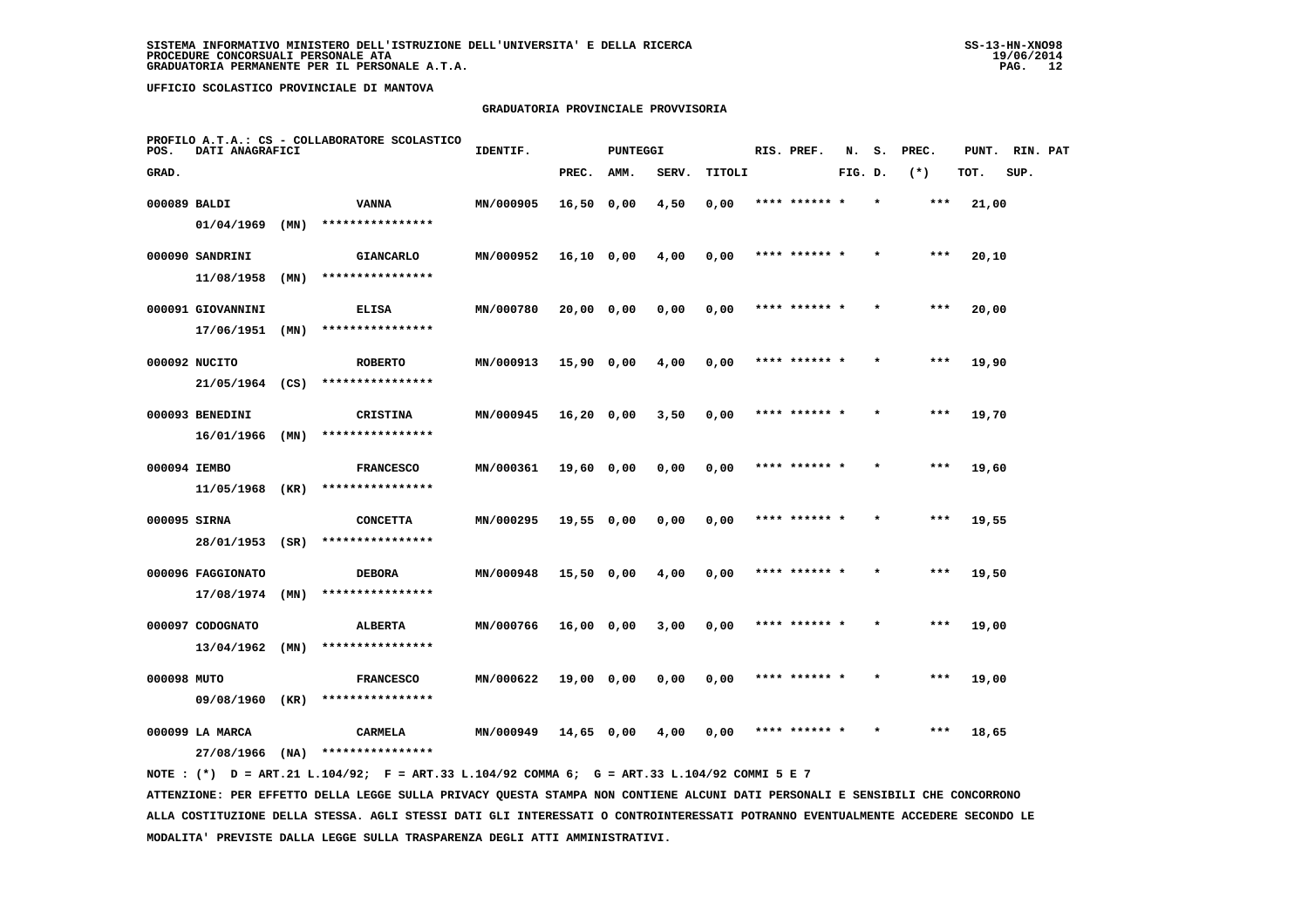## **GRADUATORIA PROVINCIALE PROVVISORIA**

| POS.         | DATI ANAGRAFICI   |      | PROFILO A.T.A.: CS - COLLABORATORE SCOLASTICO | IDENTIF.  |              | PUNTEGGI |       |        | RIS. PREF.    | N.      | s.      | PREC. | PUNT. | RIN. PAT |  |
|--------------|-------------------|------|-----------------------------------------------|-----------|--------------|----------|-------|--------|---------------|---------|---------|-------|-------|----------|--|
| GRAD.        |                   |      |                                               |           | PREC.        | AMM.     | SERV. | TITOLI |               | FIG. D. |         | $(*)$ | TOT.  | SUP.     |  |
| 000089 BALDI |                   |      | <b>VANNA</b>                                  | MN/000905 | $16,50$ 0,00 |          | 4,50  | 0,00   | **** ******   |         |         | ***   | 21,00 |          |  |
|              | 01/04/1969        | (MN) | ****************                              |           |              |          |       |        |               |         |         |       |       |          |  |
|              | 000090 SANDRINI   |      | <b>GIANCARLO</b>                              | MN/000952 | $16,10$ 0,00 |          | 4,00  | 0,00   | **** ******   |         |         | $***$ | 20,10 |          |  |
|              | 11/08/1958        | (MN) | ****************                              |           |              |          |       |        |               |         |         |       |       |          |  |
|              | 000091 GIOVANNINI |      | <b>ELISA</b>                                  | MN/000780 | 20,00 0,00   |          | 0,00  | 0,00   | **** ******   |         |         | $***$ | 20,00 |          |  |
|              | 17/06/1951        | (MN) | ****************                              |           |              |          |       |        |               |         |         |       |       |          |  |
|              | 000092 NUCITO     |      | <b>ROBERTO</b>                                | MN/000913 | 15,90 0,00   |          | 4,00  | 0,00   | **** ****** * |         |         | $***$ | 19,90 |          |  |
|              | 21/05/1964        | (CS) | ****************                              |           |              |          |       |        |               |         |         |       |       |          |  |
|              | 000093 BENEDINI   |      | CRISTINA                                      | MN/000945 | $16,20$ 0,00 |          | 3,50  | 0,00   | **** ****** * |         |         | $***$ | 19,70 |          |  |
|              | 16/01/1966        | (MN) | ****************                              |           |              |          |       |        |               |         |         |       |       |          |  |
| 000094 IEMBO |                   |      | <b>FRANCESCO</b>                              | MN/000361 | 19,60 0,00   |          | 0,00  | 0,00   | **** ****** * |         |         | $***$ | 19,60 |          |  |
|              | 11/05/1968        | (KR) | ****************                              |           |              |          |       |        |               |         |         |       |       |          |  |
| 000095 SIRNA |                   |      | <b>CONCETTA</b>                               | MN/000295 | 19,55 0,00   |          | 0,00  | 0,00   |               |         |         | ***   | 19,55 |          |  |
|              | 28/01/1953 (SR)   |      | ****************                              |           |              |          |       |        |               |         |         |       |       |          |  |
|              | 000096 FAGGIONATO |      | <b>DEBORA</b>                                 | MN/000948 | 15,50 0,00   |          | 4,00  | 0,00   | **** ******   |         |         | ***   | 19,50 |          |  |
|              | 17/08/1974        | (MN) | ****************                              |           |              |          |       |        |               |         |         |       |       |          |  |
|              | 000097 CODOGNATO  |      | <b>ALBERTA</b>                                | MN/000766 | 16,00 0,00   |          | 3,00  | 0,00   | **** ****** * |         | $\star$ | ***   | 19,00 |          |  |
|              | 13/04/1962        | (MN) | ****************                              |           |              |          |       |        |               |         |         |       |       |          |  |
| 000098 MUTO  |                   |      | <b>FRANCESCO</b>                              | MN/000622 | 19,00 0,00   |          | 0,00  | 0,00   | **** ****** * |         |         | ***   | 19,00 |          |  |
|              | 09/08/1960        | (KR) | ****************                              |           |              |          |       |        |               |         |         |       |       |          |  |
|              | 000099 LA MARCA   |      | <b>CARMELA</b>                                | MN/000949 | 14,65 0,00   |          | 4,00  | 0,00   |               |         |         | ***   | 18,65 |          |  |
|              | 27/08/1966        | (NA) | ****************                              |           |              |          |       |        |               |         |         |       |       |          |  |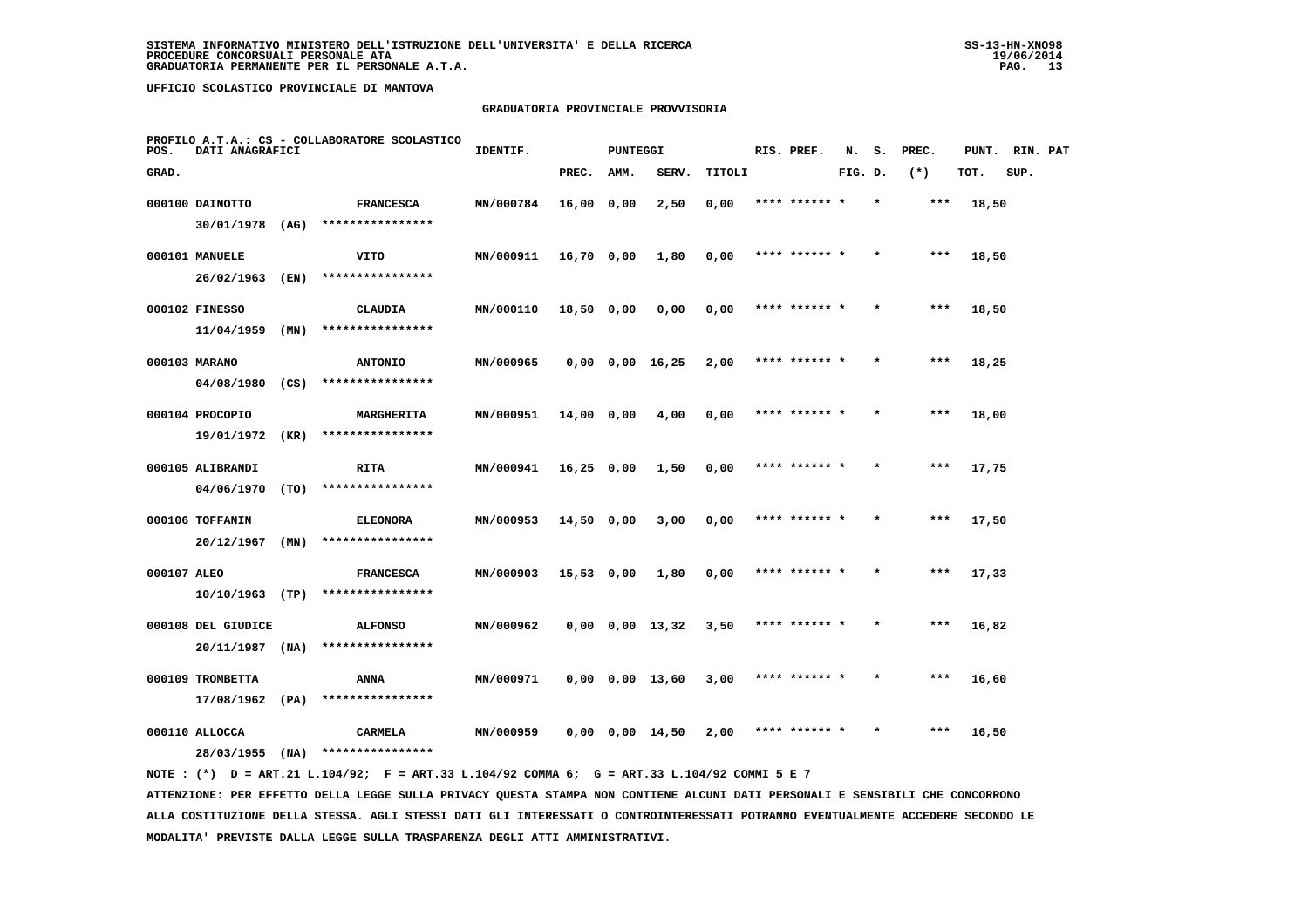## **GRADUATORIA PROVINCIALE PROVVISORIA**

| POS.        | DATI ANAGRAFICI                  | PROFILO A.T.A.: CS - COLLABORATORE SCOLASTICO | IDENTIF.<br><b>PUNTEGGI</b>          |           |              |      |                       | RIS. PREF. |               | s.      | PREC.   | PUNT. | RIN. PAT |      |  |
|-------------|----------------------------------|-----------------------------------------------|--------------------------------------|-----------|--------------|------|-----------------------|------------|---------------|---------|---------|-------|----------|------|--|
| GRAD.       |                                  |                                               |                                      |           | PREC.        | AMM. | SERV.                 | TITOLI     |               | FIG. D. |         | $(*)$ | TOT.     | SUP. |  |
|             | 000100 DAINOTTO                  |                                               | <b>FRANCESCA</b>                     | MN/000784 | 16,00 0,00   |      | 2,50                  | 0,00       | **** ****** * |         | $\star$ | ***   | 18,50    |      |  |
|             | 30/01/1978                       | (AG)                                          | ****************                     |           |              |      |                       |            |               |         |         |       |          |      |  |
|             | 000101 MANUELE                   |                                               | VITO                                 | MN/000911 | 16,70 0,00   |      | 1,80                  | 0,00       | **** ****** * |         |         | $***$ | 18,50    |      |  |
|             | 26/02/1963                       | (EN)                                          | ****************                     |           |              |      |                       |            |               |         |         |       |          |      |  |
|             | 000102 FINESSO                   |                                               | <b>CLAUDIA</b>                       | MN/000110 | $18,50$ 0,00 |      | 0,00                  | 0,00       | **** ****** * |         |         | $***$ | 18,50    |      |  |
|             | 11/04/1959                       | (MN)                                          | ****************                     |           |              |      |                       |            |               |         |         |       |          |      |  |
|             | 000103 MARANO                    |                                               | <b>ANTONIO</b>                       | MN/000965 |              |      | $0,00$ $0,00$ $16,25$ | 2,00       | **** ****** * |         |         | ***   | 18,25    |      |  |
|             | 04/08/1980                       | (CS)                                          | ****************                     |           |              |      |                       |            |               |         |         |       |          |      |  |
|             | 000104 PROCOPIO                  |                                               | MARGHERITA                           | MN/000951 | 14,00 0,00   |      | 4,00                  | 0,00       | **** ****** * |         |         | $***$ | 18,00    |      |  |
|             | 19/01/1972                       | (KR)                                          | ****************                     |           |              |      |                       |            |               |         |         |       |          |      |  |
|             | 000105 ALIBRANDI                 |                                               | RITA                                 | MN/000941 | 16,25 0,00   |      | 1,50                  | 0,00       | **** ****** * |         |         | ***   | 17,75    |      |  |
|             | 04/06/1970                       | (TO)                                          | ****************                     |           |              |      |                       |            |               |         |         |       |          |      |  |
|             | 000106 TOFFANIN                  | (MN)                                          | <b>ELEONORA</b><br>****************  | MN/000953 | $14,50$ 0,00 |      | 3,00                  | 0,00       | **** ****** * |         |         | $***$ | 17,50    |      |  |
|             | 20/12/1967                       |                                               |                                      |           |              |      |                       |            |               |         |         |       |          |      |  |
| 000107 ALEO | $10/10/1963$ (TP)                |                                               | <b>FRANCESCA</b><br>**************** | MN/000903 | 15,53 0,00   |      | 1,80                  | 0,00       |               |         |         | $***$ | 17,33    |      |  |
|             |                                  |                                               |                                      |           |              |      |                       |            |               |         |         |       |          |      |  |
|             | 000108 DEL GIUDICE<br>20/11/1987 | (NA)                                          | <b>ALFONSO</b><br>****************   | MN/000962 |              |      | $0,00$ $0,00$ $13,32$ | 3,50       | **** ****** * |         |         | $***$ | 16,82    |      |  |
|             |                                  |                                               |                                      |           |              |      |                       |            |               |         |         |       |          |      |  |
|             | 000109 TROMBETTA<br>17/08/1962   | (PA)                                          | ANNA<br>****************             | MN/000971 |              |      | $0,00$ $0,00$ $13,60$ | 3,00       | **** ****** * |         | $\star$ | ***   | 16,60    |      |  |
|             |                                  |                                               |                                      |           |              |      |                       |            | **** ****** * |         |         | ***   |          |      |  |
|             | 000110 ALLOCCA<br>28/03/1955     | (NA)                                          | CARMELA<br>****************          | MN/000959 |              |      | $0,00$ $0,00$ $14,50$ | 2,00       |               |         |         |       | 16,50    |      |  |
|             |                                  |                                               |                                      |           |              |      |                       |            |               |         |         |       |          |      |  |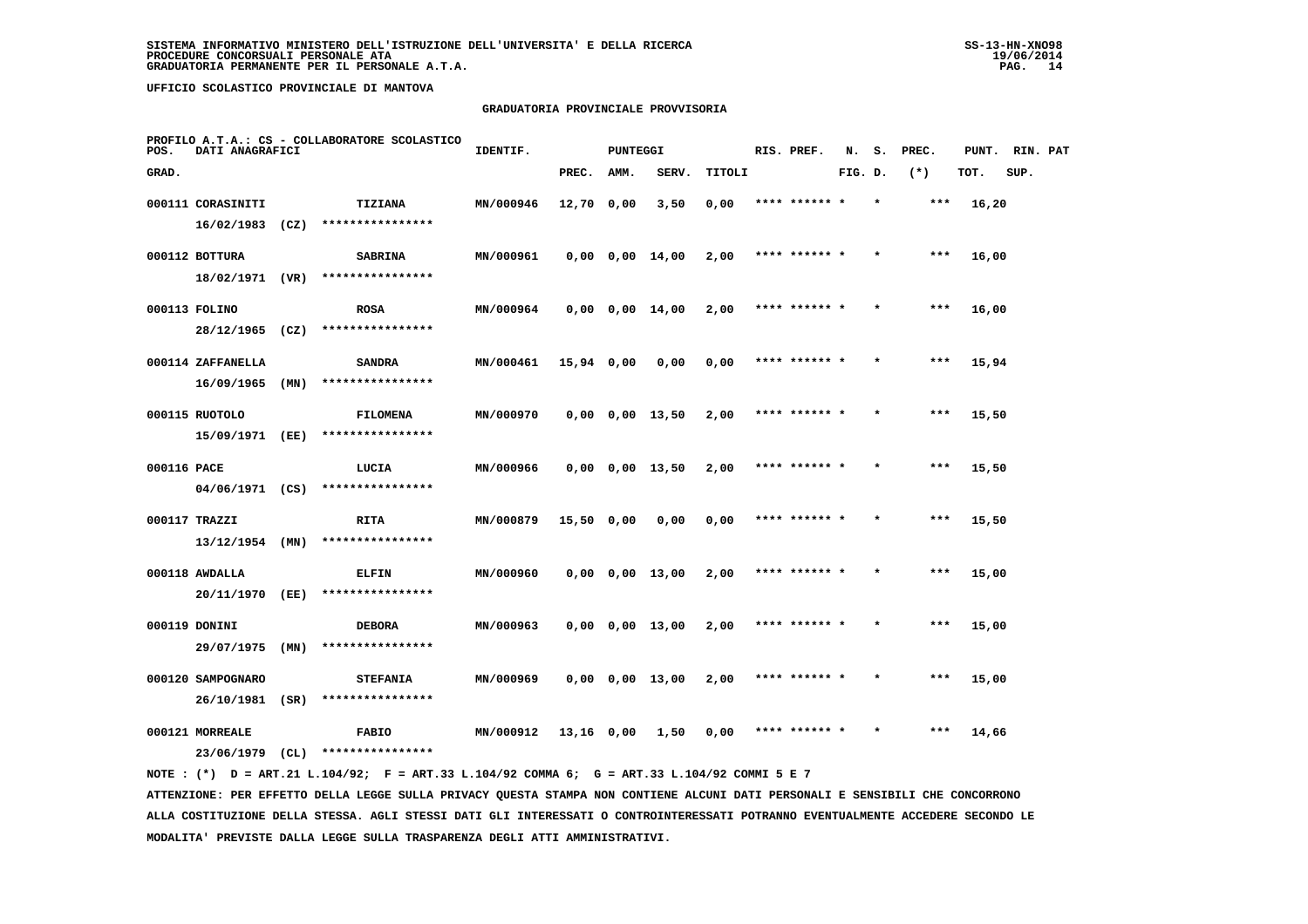## **GRADUATORIA PROVINCIALE PROVVISORIA**

| POS.        | DATI ANAGRAFICI   | PROFILO A.T.A.: CS - COLLABORATORE SCOLASTICO | IDENTIF.<br>PUNTEGGI |           |              |      |                       | RIS. PREF. | N.            | s.      | PREC. | PUNT. | RIN. PAT |      |  |
|-------------|-------------------|-----------------------------------------------|----------------------|-----------|--------------|------|-----------------------|------------|---------------|---------|-------|-------|----------|------|--|
| GRAD.       |                   |                                               |                      |           | PREC.        | AMM. | SERV.                 | TITOLI     |               | FIG. D. |       | $(*)$ | TOT.     | SUP. |  |
|             | 000111 CORASINITI |                                               | <b>TIZIANA</b>       | MN/000946 | $12,70$ 0,00 |      | 3,50                  | 0,00       | **** ****** * |         |       | ***   | 16,20    |      |  |
|             | 16/02/1983        | (CZ)                                          | ****************     |           |              |      |                       |            |               |         |       |       |          |      |  |
|             | 000112 BOTTURA    |                                               | <b>SABRINA</b>       | MN/000961 |              |      | $0,00$ $0,00$ $14,00$ | 2,00       | **** ****** * |         |       | $***$ | 16,00    |      |  |
|             | 18/02/1971 (VR)   |                                               | ****************     |           |              |      |                       |            |               |         |       |       |          |      |  |
|             | 000113 FOLINO     |                                               | <b>ROSA</b>          | MN/000964 |              |      | $0,00$ $0,00$ $14,00$ | 2,00       | **** ****** * |         |       | ***   | 16,00    |      |  |
|             | 28/12/1965        | (CZ)                                          | ****************     |           |              |      |                       |            |               |         |       |       |          |      |  |
|             | 000114 ZAFFANELLA |                                               | <b>SANDRA</b>        | MN/000461 | 15,94 0,00   |      | 0,00                  | 0,00       | **** ****** * |         |       | $***$ | 15,94    |      |  |
|             | 16/09/1965        | (MN)                                          | ****************     |           |              |      |                       |            |               |         |       |       |          |      |  |
|             | 000115 RUOTOLO    |                                               | <b>FILOMENA</b>      | MN/000970 |              |      | $0,00$ $0,00$ $13,50$ | 2,00       | **** ****** * |         |       | $***$ | 15,50    |      |  |
|             | 15/09/1971        | (EE)                                          | ****************     |           |              |      |                       |            |               |         |       |       |          |      |  |
| 000116 PACE |                   |                                               | LUCIA                | MN/000966 |              |      | $0,00$ $0,00$ $13,50$ | 2,00       | **** ****** * |         |       | ***   | 15,50    |      |  |
|             | 04/06/1971 (CS)   |                                               | ****************     |           |              |      |                       |            |               |         |       |       |          |      |  |
|             | 000117 TRAZZI     |                                               | <b>RITA</b>          | MN/000879 | 15,50 0,00   |      | 0,00                  | 0,00       |               |         |       | ***   | 15,50    |      |  |
|             | $13/12/1954$ (MN) |                                               | ****************     |           |              |      |                       |            |               |         |       |       |          |      |  |
|             | 000118 AWDALLA    |                                               | <b>ELFIN</b>         | MN/000960 |              |      | $0,00$ $0,00$ $13,00$ | 2,00       | **** ****** * |         |       | $***$ | 15,00    |      |  |
|             | 20/11/1970        | (EE)                                          | ****************     |           |              |      |                       |            |               |         |       |       |          |      |  |
|             | 000119 DONINI     |                                               | <b>DEBORA</b>        | MN/000963 |              |      | $0,00$ $0,00$ $13,00$ | 2,00       | **** ****** * |         |       | ***   | 15,00    |      |  |
|             | 29/07/1975        | (MN)                                          | ****************     |           |              |      |                       |            |               |         |       |       |          |      |  |
|             | 000120 SAMPOGNARO |                                               | <b>STEFANIA</b>      | MN/000969 |              |      | $0,00$ $0,00$ $13,00$ | 2,00       | **** ****** * |         |       | $***$ | 15,00    |      |  |
|             | 26/10/1981        | (SR)                                          | ****************     |           |              |      |                       |            |               |         |       |       |          |      |  |
|             | 000121 MORREALE   |                                               | <b>FABIO</b>         | MN/000912 | 13,16 0,00   |      | 1,50                  | 0,00       | **** ****** * |         |       | ***   | 14,66    |      |  |
|             | 23/06/1979        | CL)                                           | ****************     |           |              |      |                       |            |               |         |       |       |          |      |  |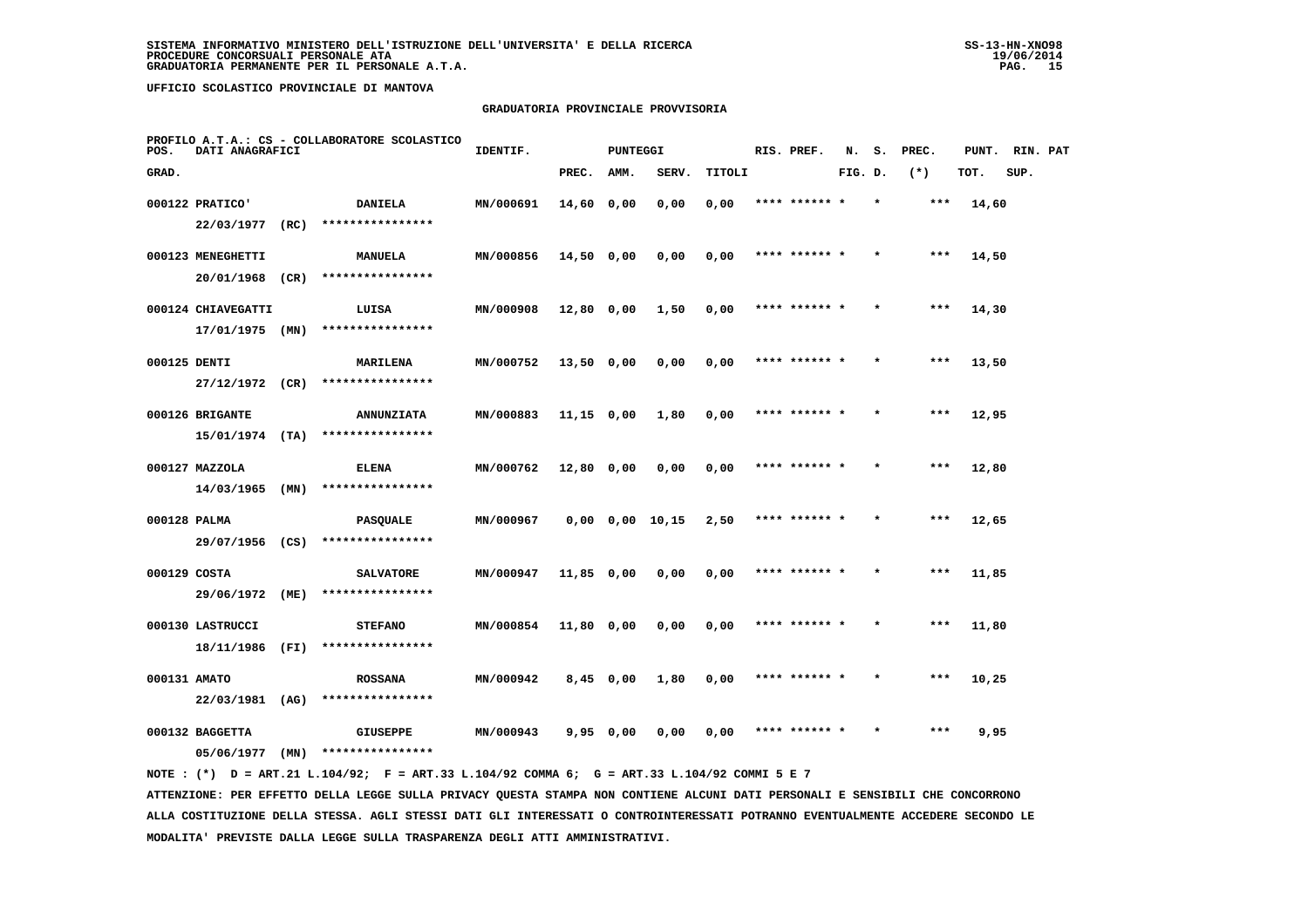## **GRADUATORIA PROVINCIALE PROVVISORIA**

| POS.  | DATI ANAGRAFICI                     | PROFILO A.T.A.: CS - COLLABORATORE SCOLASTICO | IDENTIF.                             | <b>PUNTEGGI</b> |              | RIS. PREF. | N.              | s.     | PREC.         | PUNT.   | RIN. PAT |       |       |      |  |
|-------|-------------------------------------|-----------------------------------------------|--------------------------------------|-----------------|--------------|------------|-----------------|--------|---------------|---------|----------|-------|-------|------|--|
| GRAD. |                                     |                                               |                                      |                 | PREC.        | AMM.       | SERV.           | TITOLI |               | FIG. D. |          | $(*)$ | TOT.  | SUP. |  |
|       | 000122 PRATICO'                     |                                               | <b>DANIELA</b>                       | MN/000691       | 14,60 0,00   |            | 0,00            | 0,00   | **** ****** * |         | $\star$  | ***   | 14,60 |      |  |
|       | 22/03/1977 (RC)                     |                                               | ****************                     |                 |              |            |                 |        |               |         |          |       |       |      |  |
|       | 000123 MENEGHETTI                   |                                               | <b>MANUELA</b>                       | MN/000856       | $14,50$ 0,00 |            | 0,00            | 0,00   | **** ****** * |         |          | ***   | 14,50 |      |  |
|       | 20/01/1968 (CR)                     |                                               | ****************                     |                 |              |            |                 |        |               |         |          |       |       |      |  |
|       | 000124 CHIAVEGATTI                  |                                               | LUISA                                | MN/000908       | 12,80 0,00   |            | 1,50            | 0,00   | **** ****** * |         |          | $***$ | 14,30 |      |  |
|       | $17/01/1975$ (MN)                   |                                               | ****************                     |                 |              |            |                 |        |               |         |          |       |       |      |  |
|       | 000125 DENTI                        |                                               | MARILENA                             | MN/000752       | 13,50 0,00   |            | 0,00            | 0,00   | **** ****** * |         |          | ***   | 13,50 |      |  |
|       | 27/12/1972                          | (CR)                                          | ****************                     |                 |              |            |                 |        |               |         |          |       |       |      |  |
|       | 000126 BRIGANTE                     |                                               | <b>ANNUNZIATA</b>                    | MN/000883       | $11,15$ 0,00 |            | 1,80            | 0,00   | **** ****** * |         |          | $***$ | 12,95 |      |  |
|       | 15/01/1974 (TA)                     |                                               | ****************                     |                 |              |            |                 |        |               |         |          |       |       |      |  |
|       | 000127 MAZZOLA                      |                                               | <b>ELENA</b>                         | MN/000762       | 12,80 0,00   |            | 0,00            | 0,00   | **** ****** * |         |          | $***$ | 12,80 |      |  |
|       | $14/03/1965$ (MN)                   |                                               | ****************                     |                 |              |            |                 |        |               |         |          |       |       |      |  |
|       | 000128 PALMA<br>29/07/1956 (CS)     |                                               | <b>PASQUALE</b><br>****************  | MN/000967       |              |            | 0,00 0,00 10,15 | 2,50   | **** ****** * |         |          | $***$ | 12,65 |      |  |
|       |                                     |                                               |                                      |                 |              |            |                 |        |               |         |          |       |       |      |  |
|       | 000129 COSTA<br>29/06/1972 (ME)     |                                               | <b>SALVATORE</b><br>**************** | MN/000947       | 11,85 0,00   |            | 0,00            | 0,00   | **** ****** * |         |          | ***   | 11,85 |      |  |
|       |                                     |                                               |                                      |                 |              |            |                 |        |               |         |          |       |       |      |  |
|       | 000130 LASTRUCCI<br>18/11/1986 (FI) |                                               | <b>STEFANO</b><br>****************   | MN/000854       | 11,80 0,00   |            | 0,00            | 0,00   | **** ****** * |         |          | $***$ | 11,80 |      |  |
|       |                                     |                                               |                                      |                 |              |            |                 |        | **** ****** * |         |          | ***   |       |      |  |
|       | 000131 AMATO<br>22/03/1981          | (AG)                                          | <b>ROSSANA</b><br>****************   | MN/000942       | $8,45$ 0,00  |            | 1,80            | 0,00   |               |         |          |       | 10,25 |      |  |
|       | 000132 BAGGETTA                     |                                               | <b>GIUSEPPE</b>                      | MN/000943       | 9,95 0,00    |            | 0,00            | 0,00   |               |         |          | ***   | 9,95  |      |  |
|       | 05/06/1977                          | (MN)                                          | ****************                     |                 |              |            |                 |        |               |         |          |       |       |      |  |
|       |                                     |                                               |                                      |                 |              |            |                 |        |               |         |          |       |       |      |  |